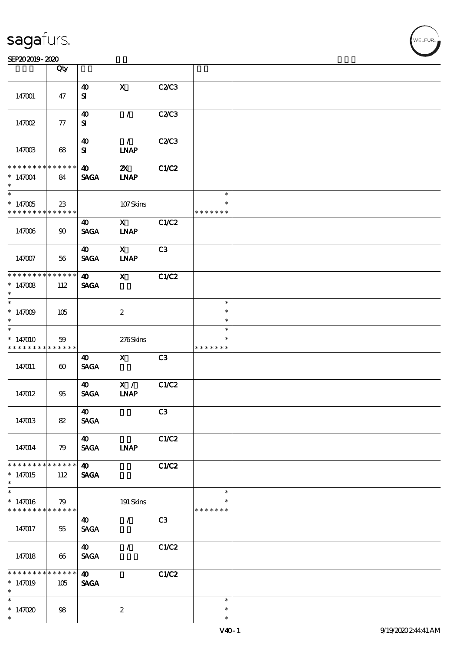|                                                       | Qty                   |                       |                           |       |                         |  |
|-------------------------------------------------------|-----------------------|-----------------------|---------------------------|-------|-------------------------|--|
|                                                       |                       | $\boldsymbol{\omega}$ | $\mathbf X$               | C2/C3 |                         |  |
| 147001                                                | 47                    | ${\bf s}$             |                           |       |                         |  |
|                                                       |                       | 40                    | $\mathcal{L}$             | C2C3  |                         |  |
| 147002                                                | 77                    | ${\bf s}$             |                           |       |                         |  |
|                                                       |                       | $\boldsymbol{\omega}$ | $\mathcal{L}$             | C2C3  |                         |  |
| 147003                                                | 68                    | ${\bf s}$             | <b>INAP</b>               |       |                         |  |
| * * * * * * * *                                       | * * * * * *           | $\boldsymbol{\omega}$ | $\boldsymbol{\mathsf{z}}$ | C1/C2 |                         |  |
| $*147004$<br>$\ast$                                   | 84                    | <b>SAGA</b>           | <b>INAP</b>               |       |                         |  |
| $\overline{\ast}$                                     |                       |                       |                           |       | $\ast$                  |  |
| $*147005$<br>* * * * * * * *                          | 23<br>* * * * * *     |                       | $107$ Skins               |       | $\ast$<br>* * * * * * * |  |
|                                                       |                       | 40                    | $\mathbf{X}$              | C1/C2 |                         |  |
| 147006                                                | 90                    | <b>SAGA</b>           | <b>INAP</b>               |       |                         |  |
|                                                       |                       | $\boldsymbol{\omega}$ | $\mathbf{X}$              | C3    |                         |  |
| 147007                                                | 56                    | <b>SAGA</b>           | <b>INAP</b>               |       |                         |  |
| * * * * * * * * <mark>* * * * * * *</mark>            |                       | $\boldsymbol{\omega}$ | $\mathbf{x}$              | C1/C2 |                         |  |
| $*147008$<br>$\ast$                                   | 112                   | <b>SAGA</b>           |                           |       |                         |  |
|                                                       |                       |                       |                           |       | $\ast$                  |  |
| $*147009$<br>$\ast$                                   | 105                   |                       | $\boldsymbol{2}$          |       | $\ast$<br>$\ast$        |  |
| $\overline{\ast}$                                     |                       |                       |                           |       | $\ast$                  |  |
| $*147010$                                             | 59                    |                       | 276Skins                  |       |                         |  |
| * * * * * * * *                                       | * * * * * *           | 40                    | $\mathbf{X}$              | C3    | * * * * * * *           |  |
| 147011                                                | $\boldsymbol{\omega}$ | <b>SAGA</b>           |                           |       |                         |  |
|                                                       |                       | $\boldsymbol{\omega}$ | X /                       | C1/C2 |                         |  |
| 147012                                                | 95                    | <b>SAGA</b>           | <b>INAP</b>               |       |                         |  |
|                                                       |                       | $\boldsymbol{\omega}$ |                           | C3    |                         |  |
| 147013                                                | 82                    | <b>SAGA</b>           |                           |       |                         |  |
|                                                       |                       | 40                    |                           | C1/C2 |                         |  |
| 147014                                                | 79                    | <b>SAGA</b>           | <b>INAP</b>               |       |                         |  |
| * * * * * * * *                                       | $* * * * * * *$       | $\boldsymbol{\omega}$ |                           | C1/C2 |                         |  |
| $*147015$<br>$\ast$                                   | 112                   | <b>SAGA</b>           |                           |       |                         |  |
| $\overline{\ast}$                                     |                       |                       |                           |       | $\ast$                  |  |
| $*147016$<br>* * * * * * * * <mark>* * * * * *</mark> | 79                    |                       | $191$ Skins               |       | $\ast$<br>* * * * * * * |  |
|                                                       |                       | 40                    | $\mathcal{L}$             | C3    |                         |  |
| 147017                                                | 55                    | <b>SAGA</b>           |                           |       |                         |  |
|                                                       |                       | $\boldsymbol{\omega}$ | $\mathcal{L}$             | C1/C2 |                         |  |
| 147018                                                | 66                    | <b>SAGA</b>           |                           |       |                         |  |
| * * * * *                                             | * * * * * *           | $\boldsymbol{\omega}$ |                           | C1/C2 |                         |  |
| $*147019$<br>$\ast$                                   | 105                   | <b>SAGA</b>           |                           |       |                         |  |
| $\overline{\ast}$                                     |                       |                       |                           |       | $\ast$                  |  |
| * $147020$                                            | 98                    |                       | $\boldsymbol{2}$          |       | $\ast$                  |  |
| $\ast$                                                |                       |                       |                           |       | $\ast$                  |  |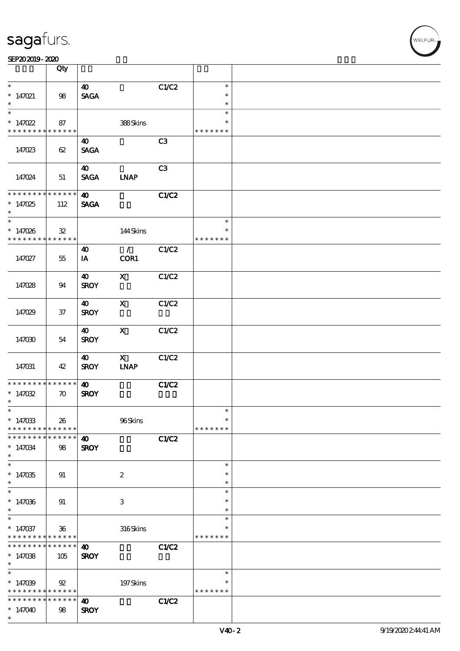|                                          | Qty                        |                                      |                                                           |       |               |  |
|------------------------------------------|----------------------------|--------------------------------------|-----------------------------------------------------------|-------|---------------|--|
| $\ast$                                   |                            | $\boldsymbol{\omega}$                |                                                           | C1/C2 | $\ast$        |  |
| $* 147021$                               | $98\,$                     | <b>SAGA</b>                          |                                                           |       | $\ast$        |  |
|                                          |                            |                                      |                                                           |       | $\ast$        |  |
| $\overline{\ast}$                        |                            |                                      |                                                           |       | $\ast$        |  |
| * $147022$                               | 87                         |                                      | 388Skins                                                  |       | $\ast$        |  |
| * * * * * * * *                          | ******                     |                                      |                                                           |       | * * * * * * * |  |
|                                          |                            | 40                                   |                                                           | C3    |               |  |
| 147023                                   | 62                         | <b>SAGA</b>                          |                                                           |       |               |  |
|                                          |                            |                                      |                                                           |       |               |  |
|                                          |                            | $\boldsymbol{\omega}$                |                                                           | C3    |               |  |
| 147024                                   | 51                         | <b>SAGA</b>                          | <b>INAP</b>                                               |       |               |  |
| * * * * * * * * <mark>* * * * * *</mark> |                            | $\boldsymbol{\Phi}$                  |                                                           | CLC2  |               |  |
| $*147025$                                | 112                        | <b>SAGA</b>                          |                                                           |       |               |  |
| $\ast$                                   |                            |                                      |                                                           |       |               |  |
| $*$                                      |                            |                                      |                                                           |       | $\ast$        |  |
| $* 147026$                               | $\mathbf{32}$              |                                      | 144Skins                                                  |       |               |  |
| * * * * * * * *                          | ******                     |                                      |                                                           |       | * * * * * * * |  |
|                                          |                            | $\boldsymbol{\omega}$                | $\mathcal{L}$                                             | C1/C2 |               |  |
| 147027                                   | 55                         | IA                                   | COR1                                                      |       |               |  |
|                                          |                            | 40                                   | $\mathbf{x}$                                              | C1/C2 |               |  |
| 147028                                   | 94                         | <b>SROY</b>                          |                                                           |       |               |  |
|                                          |                            |                                      |                                                           |       |               |  |
|                                          |                            | $\boldsymbol{\omega}$                | $\mathbf x$                                               | C1/C2 |               |  |
| 147029                                   | $37\,$                     | <b>SROY</b>                          |                                                           |       |               |  |
|                                          |                            |                                      |                                                           |       |               |  |
|                                          |                            | $\boldsymbol{\omega}$                | $\mathbf{x}$                                              | C1/C2 |               |  |
| 147030                                   | 54                         | <b>SROY</b>                          |                                                           |       |               |  |
|                                          |                            |                                      |                                                           |       |               |  |
|                                          | 42                         | $\boldsymbol{\omega}$<br><b>SROY</b> | $\boldsymbol{\mathrm{X}}$<br>$\ensuremath{\mathbf{INAP}}$ | C1/C2 |               |  |
| 147031                                   |                            |                                      |                                                           |       |               |  |
| * * * * * * * *                          | $******$                   | 40                                   |                                                           | C1/C2 |               |  |
| $*147032$                                | $\boldsymbol{\pi}$         | <b>SROY</b>                          |                                                           |       |               |  |
| $\ast$                                   |                            |                                      |                                                           |       |               |  |
| $\ast$                                   |                            |                                      |                                                           |       | $\ast$        |  |
| $*147033$                                | 26                         |                                      | 96Skins                                                   |       | $\ast$        |  |
| * * * * * * * *<br>* * * * * * * *       | * * * * * *<br>* * * * * * |                                      |                                                           |       | * * * * * * * |  |
| $*147034$                                |                            | $\boldsymbol{\omega}$<br><b>SROY</b> |                                                           | C1/C2 |               |  |
| $\ast$                                   | 98                         |                                      |                                                           |       |               |  |
| $\overline{\ast}$                        |                            |                                      |                                                           |       | $\ast$        |  |
| $*147035$                                | 91                         |                                      | $\boldsymbol{2}$                                          |       |               |  |
| $\ast$                                   |                            |                                      |                                                           |       | $\ast$        |  |
| $\overline{\ast}$                        |                            |                                      |                                                           |       | $\ast$        |  |
| $*147036$                                | 91                         |                                      | 3                                                         |       | $\ast$        |  |
| $\ast$<br>$\ast$                         |                            |                                      |                                                           |       | $\ast$        |  |
| $*147037$                                | $36\,$                     |                                      | $316$ Skins                                               |       | $\ast$        |  |
| * * * * * * * * <mark>* * * * * *</mark> |                            |                                      |                                                           |       | * * * * * * * |  |
| * * * * * * * *                          | $* * * * * * *$            | $\boldsymbol{\omega}$                |                                                           | C1/C2 |               |  |
| $*147038$                                | 105                        | <b>SROY</b>                          |                                                           |       |               |  |
| $\ast$                                   |                            |                                      |                                                           |       |               |  |
| $\ast$                                   |                            |                                      |                                                           |       | $\ast$        |  |
| $*147039$                                | 92                         |                                      | 197Skins                                                  |       |               |  |
| * * * * * * * * <mark>* * * * * *</mark> |                            |                                      |                                                           |       | * * * * * * * |  |
| * * * * * * * *                          |                            |                                      |                                                           |       |               |  |
|                                          | * * * * * *                | 40                                   |                                                           | C1/C2 |               |  |
| $*147040$<br>$\ast$                      | 98                         | <b>SROY</b>                          |                                                           |       |               |  |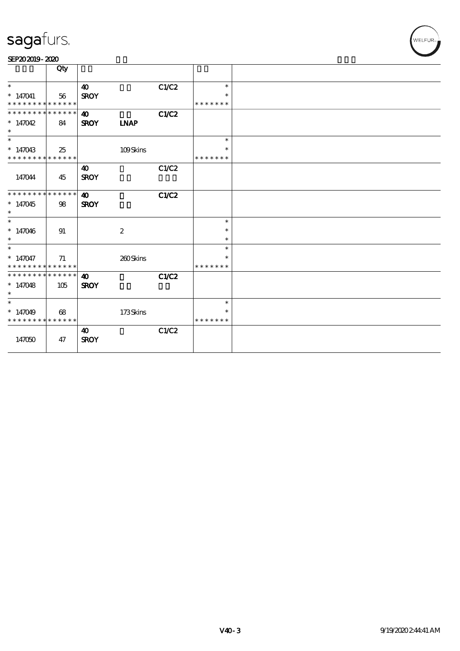| SEP202019-2020 |  |  |
|----------------|--|--|
|----------------|--|--|

|                                          | Qty |                       |                  |       |               |  |
|------------------------------------------|-----|-----------------------|------------------|-------|---------------|--|
| $\ast$                                   |     | $\boldsymbol{\omega}$ |                  | C1/C2 | $\ast$        |  |
| $*147041$                                | 56  | <b>SROY</b>           |                  |       |               |  |
| * * * * * * * * * * * * * *              |     |                       |                  |       | * * * * * * * |  |
| * * * * * * * * * * * * * *              |     | $\boldsymbol{\omega}$ |                  | C1/C2 |               |  |
| $*147042$                                | 84  | <b>SROY</b>           | <b>LNAP</b>      |       |               |  |
| $\ast$                                   |     |                       |                  |       |               |  |
| $\ast$                                   |     |                       |                  |       | $\ast$        |  |
| $*147043$<br>* * * * * * * * * * * * * * | 25  |                       | 109Skins         |       | * * * * * * * |  |
|                                          |     | $\boldsymbol{\omega}$ |                  | C1/C2 |               |  |
| 147044                                   | 45  | <b>SROY</b>           |                  |       |               |  |
|                                          |     |                       |                  |       |               |  |
| * * * * * * * * * * * * * *              |     | $\boldsymbol{\omega}$ |                  | C1/C2 |               |  |
| $*147045$                                | 98  | <b>SROY</b>           |                  |       |               |  |
| $\ast$<br>$\ast$                         |     |                       |                  |       | $\ast$        |  |
| $*147046$                                | 91  |                       | $\boldsymbol{2}$ |       | $\ast$        |  |
| $\ast$                                   |     |                       |                  |       | $\ast$        |  |
| $\ast$                                   |     |                       |                  |       | $\ast$        |  |
| $* 147047$                               | 71  |                       | 260Skins         |       | $\ast$        |  |
| * * * * * * * * * * * * * *              |     |                       |                  |       | * * * * * * * |  |
| **************                           |     | $\boldsymbol{\omega}$ |                  | C1/C2 |               |  |
| $*147048$<br>$\ast$                      | 105 | <b>SROY</b>           |                  |       |               |  |
| $\ast$                                   |     |                       |                  |       | $\ast$        |  |
| $*147049$                                | 68  |                       | 173Skins         |       | $\ast$        |  |
| * * * * * * * * * * * * * *              |     |                       |                  |       | * * * * * * * |  |
|                                          |     | $\boldsymbol{\omega}$ |                  | C1/C2 |               |  |
| 147050                                   | 47  | <b>SROY</b>           |                  |       |               |  |
|                                          |     |                       |                  |       |               |  |

WELFUR<sub>T</sub>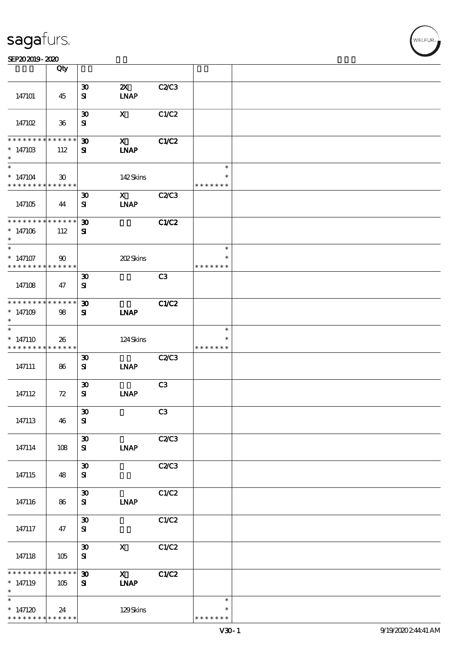|                                                          | Qty                         |                                          |                             |              |                         |  |
|----------------------------------------------------------|-----------------------------|------------------------------------------|-----------------------------|--------------|-------------------------|--|
|                                                          |                             |                                          | $\boldsymbol{\mathsf{Z}}$   |              |                         |  |
| 147101                                                   | 45                          | $\boldsymbol{\mathfrak{D}}$<br>${\bf s}$ | <b>INAP</b>                 | C2C3         |                         |  |
| 147102                                                   | $36\,$                      | $\boldsymbol{\mathfrak{D}}$<br>${\bf s}$ | $\mathbf{x}$                | C1/C2        |                         |  |
|                                                          |                             |                                          |                             |              |                         |  |
| * * * * * * * *<br>$*14710B$<br>$\ast$                   | $* * * * * * *$<br>112      | $\boldsymbol{\mathfrak{D}}$<br>${\bf s}$ | $\mathbf{x}$<br><b>INAP</b> | C1/C2        |                         |  |
| $\overline{\ast}$                                        |                             |                                          |                             |              | $\ast$                  |  |
| $*147104$<br>* * * * * * * * * * * * * *                 | $\boldsymbol{\mathfrak{D}}$ |                                          | 142Skins                    |              | $\ast$<br>* * * * * * * |  |
|                                                          |                             | $\boldsymbol{\mathfrak{D}}$              | $\mathbf X$                 | <b>C2/C3</b> |                         |  |
| 147105                                                   | 44                          | ${\bf s}$                                | <b>LNAP</b>                 |              |                         |  |
| * * * * * * * * * * * * * * *                            |                             | $\boldsymbol{\mathfrak{D}}$              |                             | <b>C1/C2</b> |                         |  |
| $* 147106$<br>$\ast$                                     | 112                         | ${\bf s}$                                |                             |              |                         |  |
| $\ast$                                                   |                             |                                          |                             |              | $\ast$                  |  |
| $*$ 147107<br>* * * * * * * * <mark>* * * * * * *</mark> | $\boldsymbol{\omega}$       |                                          | 202Skins                    |              | $\ast$<br>* * * * * * * |  |
|                                                          |                             | $\boldsymbol{\mathfrak{D}}$              |                             | C3           |                         |  |
| 147108                                                   | 47                          | ${\bf s}$                                |                             |              |                         |  |
| * * * * * * * * * * * * * * *                            |                             | $\boldsymbol{\mathfrak{D}}$              |                             | <b>C1/C2</b> |                         |  |
| $*147109$<br>$\ast$                                      | 98                          | ${\bf s}$                                | <b>INAP</b>                 |              |                         |  |
| $\ast$                                                   |                             |                                          |                             |              | $\ast$                  |  |
| $*147110$<br>* * * * * * * * <mark>* * * * * * *</mark>  | 26                          |                                          | 124Skins                    |              | * * * * * * *           |  |
|                                                          |                             | $\boldsymbol{\mathfrak{D}}$              |                             | C2C3         |                         |  |
| 147111                                                   | 86                          | ${\bf s}$                                | <b>INAP</b>                 |              |                         |  |
|                                                          |                             | $\boldsymbol{\mathfrak{D}}$              |                             | C3           |                         |  |
| 147112                                                   | 72                          | ${\bf s}$                                | <b>INAP</b>                 |              |                         |  |
|                                                          |                             | $\boldsymbol{\mathfrak{D}}$              |                             | C3           |                         |  |
| 147113                                                   | 46                          | ${\bf s}$                                |                             |              |                         |  |
|                                                          |                             | $\boldsymbol{\mathfrak{D}}$              |                             | C2C3         |                         |  |
| 147114                                                   | 108                         | ${\bf s}$                                | <b>INAP</b>                 |              |                         |  |
| 147115                                                   | 48                          | $\boldsymbol{\mathfrak{D}}$<br>${\bf s}$ |                             | C2C3         |                         |  |
|                                                          |                             |                                          |                             |              |                         |  |
| 147116                                                   | 86                          | $\pmb{\mathfrak{D}}$<br>${\bf s}$        | <b>INAP</b>                 | C1/C2        |                         |  |
|                                                          |                             |                                          |                             |              |                         |  |
| 147117                                                   | 47                          | $\pmb{\mathfrak{D}}$<br>${\bf s}$        |                             | C1/C2        |                         |  |
|                                                          |                             | $\boldsymbol{\mathfrak{D}}$              | $\mathbf X$                 | C1/C2        |                         |  |
| 147118                                                   | 105                         | ${\bf s}$                                |                             |              |                         |  |
| * * * * * * *                                            | * * * * * *                 | $\boldsymbol{\mathfrak{D}}$              | $\mathbf{X}$                | C1/C2        |                         |  |
| $* 147119$<br>$\ast$                                     | 105                         | ${\bf s}$                                | <b>INAP</b>                 |              |                         |  |
| $\ast$                                                   |                             |                                          |                             |              | $\ast$                  |  |
| $*147120$                                                | 24                          |                                          | 129Skins                    |              | $\ast$                  |  |
| * * * * * * * *                                          | * * * * * *                 |                                          |                             |              | * * * * * * *           |  |

,<br>WELFUR: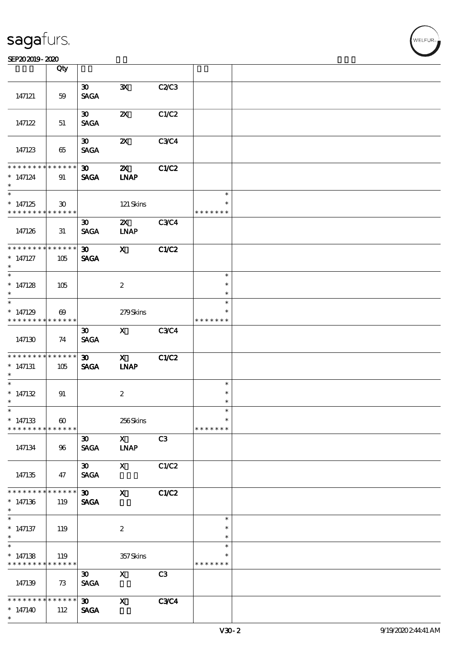|                                                    | Qty                                  |                                            |                                          |             |                                   |  |
|----------------------------------------------------|--------------------------------------|--------------------------------------------|------------------------------------------|-------------|-----------------------------------|--|
| 147121                                             | 59                                   | $\infty$<br><b>SAGA</b>                    | $\mathbf{x}$                             | C2C3        |                                   |  |
| 147122                                             | 51                                   | $\boldsymbol{\mathfrak{D}}$<br><b>SAGA</b> | $\boldsymbol{\mathsf{X}}$                | C1/C2       |                                   |  |
| 147123                                             | 65                                   | $\boldsymbol{\mathfrak{D}}$<br><b>SAGA</b> | $\boldsymbol{\mathsf{z}}$                | C3C4        |                                   |  |
| * * * * * * * *<br>$* 147124$<br>$\ast$            | * * * * * *<br>91                    | $\boldsymbol{\mathfrak{D}}$<br><b>SAGA</b> | $\boldsymbol{\mathsf{Z}}$<br><b>INAP</b> | C1/C2       |                                   |  |
| $*147125$<br>* * * * * * * *                       | $\mathbf{E}$<br>* * * * * *          |                                            | 121 Skins                                |             | $\ast$<br>$\ast$<br>* * * * * * * |  |
| 147126                                             | 31                                   | $\boldsymbol{\mathfrak{D}}$<br><b>SAGA</b> | $\mathbf{X}$<br><b>LNAP</b>              | <b>C3C4</b> |                                   |  |
| * * * * * * * *<br>$*$ 147127<br>$\ast$            | ******<br>105                        | $\boldsymbol{\mathfrak{D}}$<br><b>SAGA</b> | $\mathbf{x}$                             | C1/C2       |                                   |  |
| * $147128$<br>$\ast$                               | 105                                  |                                            | $\boldsymbol{2}$                         |             | $\ast$<br>$\ast$<br>$\ast$        |  |
| $*147129$<br>* * * * * * * *                       | $\boldsymbol{\omega}$<br>******      |                                            | 279Skins                                 |             | $\ast$<br>* * * * * * *           |  |
| 147130                                             | 74                                   | 30 <sub>o</sub><br><b>SAGA</b>             | $\mathbf{X}$                             | <b>C3C4</b> |                                   |  |
| * * * * * * * *<br>$*$ 147131<br>$*$               | * * * * * *<br>105                   | 30 <sub>o</sub><br><b>SAGA</b>             | $\mathbf{X}$<br><b>INAP</b>              | C1/C2       |                                   |  |
| $\ast$<br>* $147132$<br>$\ast$                     | 91                                   |                                            | $\boldsymbol{2}$                         |             | $\ast$<br>$\ast$<br>$\ast$        |  |
| $*$<br>$*147133$<br>* * * * * * * *                | $\boldsymbol{\omega}$<br>* * * * * * |                                            | 256Skins                                 |             | $\ast$<br>$\ast$<br>* * * * * * * |  |
| 147134                                             | 96                                   | $\boldsymbol{\mathfrak{D}}$<br><b>SAGA</b> | $\mathbf{X}$<br><b>INAP</b>              | C3          |                                   |  |
| 147135                                             | 47                                   | $\boldsymbol{\mathfrak{D}}$<br><b>SAGA</b> | $\mathbf{x}$                             | C1/C2       |                                   |  |
| * * * * * * *<br>$*147136$<br>$\ast$               | * * * * * *<br>119                   | $\boldsymbol{\mathfrak{D}}$<br><b>SAGA</b> | $\mathbf{x}$                             | C1/C2       |                                   |  |
| $\ast$<br>$*$ 147137<br>$*$                        | 119                                  |                                            | $\boldsymbol{z}$                         |             | $\ast$<br>$\ast$<br>$\ast$        |  |
| $\overline{\ast}$<br>$* 147138$<br>* * * * * * * * | 119<br>* * * * * *                   |                                            | 357Skins                                 |             | $\ast$<br>$\ast$<br>* * * * * * * |  |
| 147139                                             | 73                                   | $\boldsymbol{\mathfrak{D}}$<br><b>SAGA</b> | $\mathbf{x}$                             | C3          |                                   |  |
| * * * * * * *<br>$*147140$<br>$\ast$               | * * * * * *<br>112                   | $\infty$<br><b>SAGA</b>                    | $\mathbf{x}$                             | <b>C3C4</b> |                                   |  |

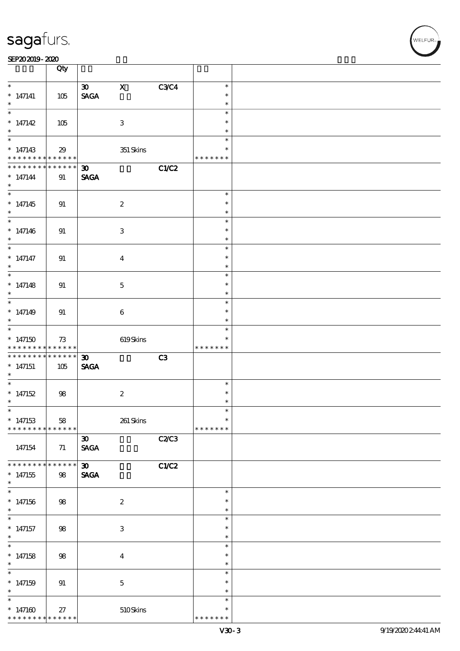|                                            | Qty         |                                |                           |       |                  |  |
|--------------------------------------------|-------------|--------------------------------|---------------------------|-------|------------------|--|
| $\overline{\ast}$                          |             | $\infty$                       | $\mathbf{x}$              | C3C4  | $\ast$           |  |
| $* 147141$                                 | 105         | $\operatorname{\mathsf{SAGA}}$ |                           |       | $\ast$           |  |
| $*$                                        |             |                                |                           |       | $\ast$           |  |
| $\overline{\phantom{0}}$                   |             |                                |                           |       | $\ast$           |  |
| * $147142$                                 | 105         |                                | $\mathbf{3}$              |       | $\ast$           |  |
| $*$                                        |             |                                |                           |       | $\ast$           |  |
|                                            |             |                                |                           |       | $\ast$           |  |
| $*147143$                                  | 29          |                                | $351$ Skins               |       | $\ast$           |  |
| * * * * * * * * * * * * * * *              |             |                                |                           |       | * * * * * * *    |  |
| * * * * * * * *                            | $******$    | $\infty$                       |                           | C1/C2 |                  |  |
|                                            |             |                                |                           |       |                  |  |
| $* 147144$<br>$\ast$                       | 91          | <b>SAGA</b>                    |                           |       |                  |  |
|                                            |             |                                |                           |       | $\ast$           |  |
|                                            |             |                                |                           |       |                  |  |
| $*147145$                                  | 91          |                                | $\boldsymbol{2}$          |       | $\ast$           |  |
| $\ast$                                     |             |                                |                           |       | $\ast$           |  |
|                                            |             |                                |                           |       | $\ast$           |  |
| $* 147146$                                 | 91          |                                | 3                         |       | $\ast$           |  |
| $\ast$                                     |             |                                |                           |       | $\ast$           |  |
| $\ast$                                     |             |                                |                           |       | $\ast$           |  |
| $* 147147$                                 | 91          |                                | $\boldsymbol{4}$          |       | $\ast$           |  |
| $\ast$                                     |             |                                |                           |       | $\ast$           |  |
| $\overline{\ast}$                          |             |                                |                           |       | $\ast$           |  |
| $* 147148$                                 | 91          |                                | $\mathbf 5$               |       | $\ast$           |  |
| $\ast$                                     |             |                                |                           |       | $\ast$           |  |
|                                            |             |                                |                           |       | $\ast$           |  |
| $* 147149$                                 | 91          |                                | $\bf 6$                   |       | $\ast$           |  |
| $\ast$                                     |             |                                |                           |       | $\ast$           |  |
|                                            |             |                                |                           |       | $\ast$           |  |
| $*147150$                                  | 73          |                                | 619Skins                  |       | $\ast$           |  |
| * * * * * * * * <mark>* * * * * * *</mark> |             |                                |                           |       | * * * * * * *    |  |
|                                            |             | $\boldsymbol{\mathfrak{D}}$    |                           | C3    |                  |  |
| $*147151$                                  | 105         | <b>SAGA</b>                    |                           |       |                  |  |
| $\ast$                                     |             |                                |                           |       |                  |  |
| $*$                                        |             |                                |                           |       | $\ast$           |  |
| $*147152$                                  | 98          |                                | $\boldsymbol{2}$          |       | $\ast$           |  |
| $\ast$                                     |             |                                |                           |       | $\ast$           |  |
| $\overline{\phantom{0}}$                   |             |                                |                           |       |                  |  |
| $*147153$                                  | 58          |                                | 261 Skins                 |       | $\ast$           |  |
| * * * * * * * *                            | * * * * * * |                                |                           |       | * * * * * * *    |  |
|                                            |             | $\boldsymbol{\mathfrak{D}}$    |                           | C2C3  |                  |  |
| 147154                                     | 71          | $\operatorname{\mathsf{SAGA}}$ |                           |       |                  |  |
|                                            |             |                                |                           |       |                  |  |
| * * * * * * * *                            | * * * * * * | $\boldsymbol{\mathfrak{D}}$    |                           | C1/C2 |                  |  |
| $*147155$                                  | 98          | <b>SAGA</b>                    |                           |       |                  |  |
| $\ast$                                     |             |                                |                           |       |                  |  |
| $\ast$                                     |             |                                |                           |       | $\ast$           |  |
|                                            |             |                                |                           |       | $\ast$           |  |
| $*147156$                                  | 98          |                                | $\boldsymbol{2}$          |       |                  |  |
| $\ast$                                     |             |                                |                           |       | $\ast$<br>$\ast$ |  |
|                                            |             |                                |                           |       |                  |  |
| $*$ 147157                                 | $98$        |                                | $\ensuremath{\mathbf{3}}$ |       | $\ast$           |  |
| $\ast$                                     |             |                                |                           |       | $\ast$           |  |
| $\ast$                                     |             |                                |                           |       | $\ast$           |  |
| $*147158$                                  | $98$        |                                | $\boldsymbol{4}$          |       | $\ast$           |  |
| $\ast$                                     |             |                                |                           |       | $\ast$           |  |
| $\ast$                                     |             |                                |                           |       | $\ast$           |  |
| $*147159$                                  | 91          |                                | $\mathbf{5}$              |       | $\ast$           |  |
| $\ast$                                     |             |                                |                           |       | $\ast$           |  |
| $\ast$                                     |             |                                |                           |       | $\ast$           |  |
| $*147160$                                  | $27\,$      |                                | 510Skins                  |       | $\ast$           |  |
| * * * * * * * *                            | * * * * * * |                                |                           |       | * * * * * * *    |  |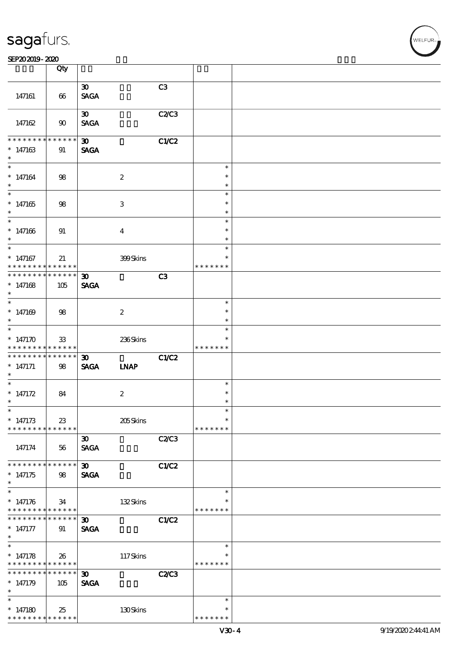#### SEP202019-2020

|                                                                    | Qty               |                                            |                  |       |                                   |  |
|--------------------------------------------------------------------|-------------------|--------------------------------------------|------------------|-------|-----------------------------------|--|
|                                                                    |                   |                                            |                  |       |                                   |  |
| 147161                                                             | 66                | $\boldsymbol{\mathfrak{D}}$<br><b>SAGA</b> |                  | C3    |                                   |  |
| 147162                                                             | 90                | $\boldsymbol{\mathfrak{D}}$<br><b>SAGA</b> |                  | C2/C3 |                                   |  |
| * * * * * * * *<br>$*147163$<br>$\ast$                             | $******$<br>91    | $\boldsymbol{\mathfrak{D}}$<br><b>SAGA</b> |                  | C1/C2 |                                   |  |
| $\ast$<br>$* 147164$<br>$\ast$                                     | 98                |                                            | $\boldsymbol{2}$ |       | $\ast$<br>$\ast$<br>$\ast$        |  |
| $*147165$<br>$\ast$                                                | 98                |                                            | 3                |       | $\ast$<br>$\ast$<br>$\ast$        |  |
| $*$<br>$* 147166$<br>$\ast$<br>$\overline{\ast}$                   | 91                |                                            | $\overline{4}$   |       | $\ast$<br>$\ast$<br>$\ast$        |  |
| $*147167$<br>* * * * * * * * <mark>* * * * * *</mark>              | 21                |                                            | 399Skins         |       | $\ast$<br>∗<br>* * * * *<br>* *   |  |
| * * * * * * * * * * * * * * *<br>$*147168$<br>$\ast$               | 105               | $\boldsymbol{\mathfrak{D}}$<br><b>SAGA</b> |                  | C3    |                                   |  |
| $*$<br>$*147169$<br>$\ast$                                         | 98                |                                            | $\boldsymbol{2}$ |       | $\ast$<br>$\ast$<br>$\ast$        |  |
| $\overline{\phantom{0}}$<br>* $147170$<br>* * * * * * * * *        | 33<br>******      |                                            | 236Skins         |       | $\ast$<br>$\ast$<br>* * * * * * * |  |
| * * * * * * * * * * * * * * *<br>$* 147171$<br>$\ast$              | 98                | $\boldsymbol{\mathfrak{D}}$<br><b>SAGA</b> | <b>INAP</b>      | C1/C2 |                                   |  |
| $\ast$<br>* $147172$<br>$\ast$                                     | 84                |                                            | $\boldsymbol{z}$ |       | $\ast$<br>$\ast$<br>$\ast$        |  |
| $\ast$<br>$* 147173$<br>* * * * * * * *                            | 23<br>* * * * * * |                                            | 205Skins         |       | ж<br>$\ast$<br>* * * * * * *      |  |
| 147174                                                             | 56                | $\boldsymbol{\mathfrak{D}}$<br><b>SAGA</b> |                  | C2/C3 |                                   |  |
| * * * * * * * * <mark>* * * * * *</mark><br>$*147175$<br>$\ast$    | 98                | 30 <sub>o</sub><br><b>SAGA</b>             |                  | C1/C2 |                                   |  |
| $\ast$<br>$* 147176$<br>* * * * * * * * <mark>* * * * * *</mark>   | 34                |                                            | 132Skins         |       | $\ast$<br>$\ast$<br>* * * * * * * |  |
| * * * * * * * * <mark>* * * * * *</mark><br>$* 147177$<br>$\ast$   | 91                | $\boldsymbol{\mathfrak{D}}$<br><b>SAGA</b> |                  | C1/C2 |                                   |  |
| $\ast$<br>$* 147178$<br>* * * * * * * * <mark>* * * * * * *</mark> | 26                |                                            | 117Skins         |       | $\ast$<br>* * * * * * *           |  |
| * * * * * * * *<br>$*147179$<br>$\ast$                             | ******<br>105     | $\boldsymbol{\mathfrak{D}}$<br><b>SAGA</b> |                  | C2C3  |                                   |  |
| $\ast$<br>$*147180$<br>* * * * * * * *                             | 25<br>* * * * * * |                                            | 130Skins         |       | $\ast$<br>$\ast$<br>* * * * * * * |  |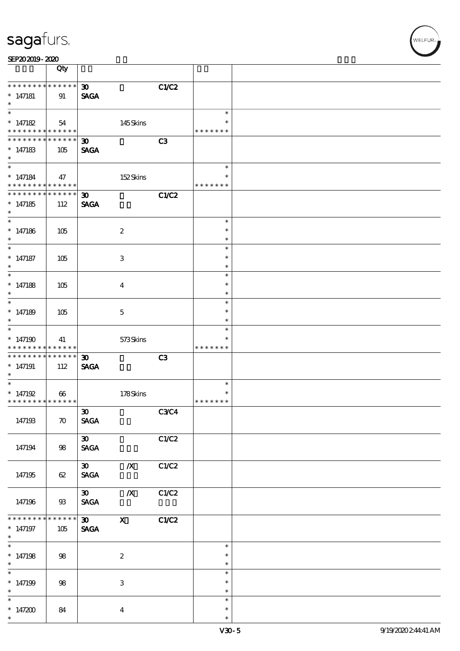| SEP202019-2020 |
|----------------|
|----------------|

|                                                                                      | Qty                    |                                            |                           |                |                                   |  |
|--------------------------------------------------------------------------------------|------------------------|--------------------------------------------|---------------------------|----------------|-----------------------------------|--|
| * * * * * * * *<br>$*$ 147181<br>$\ast$                                              | $******$<br>91         | $\boldsymbol{\mathfrak{D}}$<br><b>SAGA</b> |                           | C1/C2          |                                   |  |
| $\overline{\phantom{0}}$<br>$* 147182$<br>* * * * * * * * <mark>* * * * * * *</mark> | 54                     |                                            | 145Skins                  |                | $\ast$<br>$\ast$<br>* * * * * * * |  |
| * * * * * * * *<br>$* 147183$<br>$\ast$                                              | * * * * * *<br>105     | $\boldsymbol{\mathfrak{D}}$<br><b>SAGA</b> |                           | C <sub>3</sub> |                                   |  |
| $*$<br>$* 147184$<br>* * * * * * * * <mark>* * * * * * *</mark>                      | 47                     |                                            | 152Skins                  |                | $\ast$<br>$\ast$<br>* * * * * * * |  |
| * * * * * * * *<br>$*147185$<br>$*$                                                  | $* * * * * * *$<br>112 | $\mathbf{D}$<br><b>SAGA</b>                |                           | C1/C2          |                                   |  |
| $* 147186$<br>$\ast$                                                                 | 105                    |                                            | $\boldsymbol{z}$          |                | $\ast$<br>$\ast$<br>$\ast$        |  |
| $* 147187$<br>$\ast$                                                                 | 105                    |                                            | 3                         |                | $\ast$<br>$\ast$<br>$\ast$        |  |
| $\overline{\phantom{0}}$<br>$* 147188$<br>$\ast$                                     | 105                    |                                            | $\overline{\mathbf{4}}$   |                | $\ast$<br>$\ast$<br>$\ast$        |  |
| $* 147189$<br>$\ast$                                                                 | 105                    |                                            | $\mathbf{5}$              |                | $\ast$<br>$\ast$<br>$\ast$        |  |
| $*$<br>$*147190$<br>* * * * * * * *                                                  | 41<br>* * * * * *      |                                            | 573Skins                  |                | $\ast$<br>* * * * * * *           |  |
| * * * * * * * *<br>$*147191$<br>$*$                                                  | $* * * * * * *$<br>112 | $\boldsymbol{\mathfrak{D}}$<br><b>SAGA</b> |                           | C3             |                                   |  |
| * $147192$<br>* * * * * * * * <mark>* * * * * * *</mark>                             | $\boldsymbol{\omega}$  |                                            | 178Skins                  |                | $\ast$<br>$\ast$<br>* * * * * * * |  |
| 147193                                                                               | $\boldsymbol{\pi}$     | $\boldsymbol{\mathfrak{D}}$<br><b>SAGA</b> |                           | C3C4           |                                   |  |
| 147194                                                                               | 98                     | $\boldsymbol{\mathfrak{D}}$<br><b>SAGA</b> |                           | C1/C2          |                                   |  |
| 147195                                                                               | 62                     | $\infty$<br><b>SAGA</b>                    | $\boldsymbol{X}$          | C1/C2          |                                   |  |
| 147196                                                                               | $93$                   | 30<br><b>SAGA</b>                          | $\mathbf{X}$              | C1/C2          |                                   |  |
| * * * * * * *<br>$*$ 147197<br>$*$                                                   | * * * * * *<br>105     | $\infty$<br>$\operatorname{\mathsf{SAGA}}$ | $\mathbf{x}$              | C1/C2          |                                   |  |
| * $147198$<br>$*$                                                                    | 98                     |                                            | $\boldsymbol{2}$          |                | $\ast$<br>$\ast$<br>$\ast$        |  |
| $\overline{\phantom{0}}$<br>$*147199$<br>$\ast$                                      | 98                     |                                            | $\ensuremath{\mathsf{3}}$ |                | $\ast$<br>$\ast$<br>$\ast$        |  |
| $\overline{\phantom{0}}$<br>* $147200$<br>$\ast$                                     | 84                     |                                            | $\overline{\mathbf{4}}$   |                | $\ast$<br>$\ast$<br>$\ast$        |  |

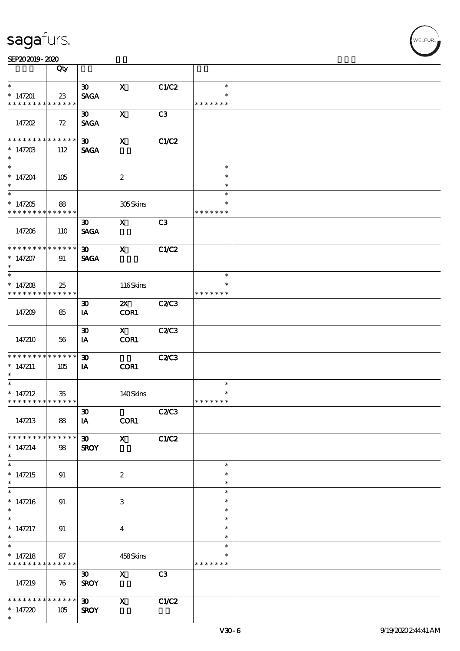|                                          | Qty         |                             |                           |                |               |  |
|------------------------------------------|-------------|-----------------------------|---------------------------|----------------|---------------|--|
| $\ast$                                   |             | $\boldsymbol{\mathfrak{D}}$ | $\mathbf x$               | C1/C2          | $\ast$        |  |
|                                          |             |                             |                           |                |               |  |
| $*147201$                                | 23          | <b>SAGA</b>                 |                           |                | $\ast$        |  |
| * * * * * * * *                          | * * * * * * |                             |                           |                | * * * * * * * |  |
|                                          |             | $\boldsymbol{\mathfrak{D}}$ | $\mathbf x$               | C3             |               |  |
| 147202                                   | 72          | <b>SAGA</b>                 |                           |                |               |  |
|                                          |             |                             |                           |                |               |  |
| * * * * * * * *                          | * * * * * * | $\boldsymbol{\mathfrak{D}}$ | $\mathbf{x}$              | C1/C2          |               |  |
|                                          |             |                             |                           |                |               |  |
| $* 14720B$                               | 112         | <b>SAGA</b>                 |                           |                |               |  |
| $\ast$                                   |             |                             |                           |                |               |  |
| $\ast$                                   |             |                             |                           |                | $\ast$        |  |
| $*147204$                                | 105         |                             | $\boldsymbol{2}$          |                | $\ast$        |  |
| $\ast$                                   |             |                             |                           |                | $\ast$        |  |
|                                          |             |                             |                           |                | $\ast$        |  |
|                                          |             |                             |                           |                | $\ast$        |  |
| $*147205$                                | 88          |                             | 305Skins                  |                |               |  |
| * * * * * * * *                          | ******      |                             |                           |                | * * * * * * * |  |
|                                          |             | $\boldsymbol{\mathfrak{D}}$ | $\mathbf{X}$              | C <sub>3</sub> |               |  |
| 147206                                   | 110         | <b>SAGA</b>                 |                           |                |               |  |
|                                          |             |                             |                           |                |               |  |
| * * * * * * * *                          | * * * * * * | 30 <sub>1</sub>             | $\mathbf{x}$              | C1/C2          |               |  |
| $*147207$                                | 91          |                             |                           |                |               |  |
|                                          |             | <b>SAGA</b>                 |                           |                |               |  |
| $\ast$                                   |             |                             |                           |                |               |  |
|                                          |             |                             |                           |                | $\ast$        |  |
| * $147208$                               | 25          |                             | 116Skins                  |                | $\ast$        |  |
| * * * * * * * *                          | * * * * * * |                             |                           |                | * * * * * * * |  |
|                                          |             | $\boldsymbol{\mathfrak{D}}$ | $\mathbf{X}$              | C2C3           |               |  |
| 147209                                   | 85          | IA                          | COR1                      |                |               |  |
|                                          |             |                             |                           |                |               |  |
|                                          |             |                             |                           |                |               |  |
|                                          |             | $\boldsymbol{\mathfrak{D}}$ | $\mathbf{X}$              | <b>C2/C3</b>   |               |  |
| 147210                                   | 56          | IA                          | COR1                      |                |               |  |
|                                          |             |                             |                           |                |               |  |
| * * * * * * * *                          | * * * * * * | $\boldsymbol{\mathfrak{D}}$ |                           | <b>C2/C3</b>   |               |  |
| $* 147211$                               | 105         | IA                          | COR1                      |                |               |  |
| $\ast$                                   |             |                             |                           |                |               |  |
| $\ast$                                   |             |                             |                           |                | $\ast$        |  |
|                                          |             |                             |                           |                | $\ast$        |  |
| * $147212$                               | $35\,$      |                             | 140Skins                  |                |               |  |
| * * * * * * * * * * * * * * *            |             |                             |                           |                | * * * * * * * |  |
|                                          |             | $\boldsymbol{\mathfrak{D}}$ |                           | C2C3           |               |  |
| 147213                                   | 88          | IA                          | COR1                      |                |               |  |
|                                          |             |                             |                           |                |               |  |
| * * * * * * * *                          | * * * * * * | 30                          | $\mathbf{X}$              | C1/C2          |               |  |
| $* 147214$                               | 98          | <b>SROY</b>                 |                           |                |               |  |
| $\ast$                                   |             |                             |                           |                |               |  |
| $\overline{\ast}$                        |             |                             |                           |                |               |  |
|                                          |             |                             |                           |                | $\ast$        |  |
| * $147215$                               | 91          |                             | $\boldsymbol{2}$          |                | $\ast$        |  |
| $\ast$                                   |             |                             |                           |                | $\ast$        |  |
| $\overline{\ast}$                        |             |                             |                           |                | $\ast$        |  |
| $* 147216$                               | 91          |                             | 3                         |                | $\ast$        |  |
| $\ast$                                   |             |                             |                           |                | $\ast$        |  |
| $\ast$                                   |             |                             |                           |                | $\ast$        |  |
|                                          |             |                             |                           |                |               |  |
| $* 147217$                               | 91          |                             | $\boldsymbol{4}$          |                | $\ast$        |  |
| $\ast$                                   |             |                             |                           |                | $\ast$        |  |
| $\overline{\ast}$                        |             |                             |                           |                | $\ast$        |  |
| * $147218$                               | 87          |                             | 458Skins                  |                |               |  |
| * * * * * * * * <mark>* * * * * *</mark> |             |                             |                           |                | * * * * * * * |  |
|                                          |             | $\boldsymbol{\mathfrak{D}}$ | $\mathbf{x}$              | C <sub>3</sub> |               |  |
| 147219                                   |             | <b>SROY</b>                 |                           |                |               |  |
|                                          | 76          |                             |                           |                |               |  |
|                                          |             |                             |                           |                |               |  |
| * * * * * * * *                          | * * * * * * | $30 -$                      | $\boldsymbol{\mathsf{X}}$ | C1/C2          |               |  |
| * $147220$                               | 105         | <b>SROY</b>                 |                           |                |               |  |
| $\ast$                                   |             |                             |                           |                |               |  |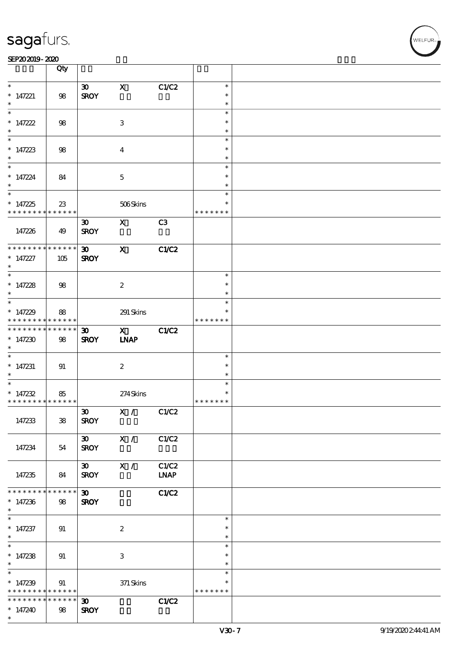#### SEP202019-2020 BEER AND EXAMPLE TO A LIMITED A LIMITED AND THE SEPEDENT CONTROL CONTROL CONTROL CONTROL CONTROL CONTROL CONTROL CONTROL CONTROL CONTROL CONTROL CONTROL CONTROL CONTROL CONTROL CONTROL CONTROL CONTROL CONTRO

|                                        | Qty               |                             |                  |                |                  |  |
|----------------------------------------|-------------------|-----------------------------|------------------|----------------|------------------|--|
| $\ast$                                 |                   | $\infty$                    | $\mathbf x$      | C1/C2          | $\ast$           |  |
| $* 147221$                             | 98                | <b>SROY</b>                 |                  |                | $\ast$           |  |
| $\ast$                                 |                   |                             |                  |                | $\ast$<br>$\ast$ |  |
| * $147222$                             | 98                |                             | 3                |                | $\ast$           |  |
| $\ast$                                 |                   |                             |                  |                | $\ast$           |  |
|                                        |                   |                             |                  |                | $\ast$           |  |
| * $147223$                             | 98                |                             | $\overline{4}$   |                | $\ast$           |  |
| $\ast$                                 |                   |                             |                  |                | $\ast$<br>$\ast$ |  |
| $* 147224$                             | 84                |                             | $\mathbf{5}$     |                | $\ast$           |  |
| $\ast$                                 |                   |                             |                  |                | $\ast$           |  |
|                                        |                   |                             |                  |                | $\ast$           |  |
| * $147225$                             | 23                |                             | 506Skins         |                | $\ast$           |  |
| * * * * * * * * <mark>*</mark>         | ******            | $\boldsymbol{\mathfrak{D}}$ | $\mathbf{X}$     | C <sub>3</sub> | * * * * * * *    |  |
| 147226                                 | 49                | <b>SROY</b>                 |                  |                |                  |  |
|                                        |                   |                             |                  |                |                  |  |
| * * * * * * * *                        | * * * * * *       | 30 <sub>o</sub>             | $\mathbf{x}$     | C1/C2          |                  |  |
| $* 147227$                             | 105               | <b>SROY</b>                 |                  |                |                  |  |
| $\ast$                                 |                   |                             |                  |                | $\ast$           |  |
| * $147228$                             | 98                |                             | $\boldsymbol{2}$ |                | $\ast$           |  |
| $\ast$                                 |                   |                             |                  |                | $\ast$           |  |
|                                        |                   |                             |                  |                | $\ast$           |  |
| * $147229$<br>* * * * * * * *          | 88<br>* * * * * * |                             | 291 Skins        |                | * * * * * * *    |  |
| * * * * * * * *                        | * * * * * *       | $\boldsymbol{\mathfrak{D}}$ | $\mathbf{X}$     | C1/C2          |                  |  |
| * $147230$                             | 98                | <b>SROY</b>                 | <b>INAP</b>      |                |                  |  |
| $*$                                    |                   |                             |                  |                |                  |  |
|                                        |                   |                             |                  |                | $\ast$           |  |
| $*147231$<br>$*$                       | 91                |                             | $\boldsymbol{2}$ |                | $\ast$<br>$\ast$ |  |
|                                        |                   |                             |                  |                | $\ast$           |  |
| * $147232$                             | 85                |                             | 274Skins         |                | $\ast$           |  |
| * * * * * * * * * * * * * * *          |                   |                             |                  |                | * * * * * * *    |  |
|                                        |                   | $\infty$                    | X / C1/C2        |                |                  |  |
| 147233                                 | ${\bf 38}$        | <b>SROY</b>                 |                  |                |                  |  |
|                                        |                   | $30 \times 1$               |                  | C1/C2          |                  |  |
| 147234                                 | 54                | <b>SROY</b>                 |                  |                |                  |  |
|                                        |                   |                             |                  |                |                  |  |
|                                        |                   | $30$ X /                    |                  | C1/C2          |                  |  |
| 147235                                 | 84                | <b>SROY</b>                 |                  | <b>LNAP</b>    |                  |  |
| * * * * * * * *                        | * * * * * *       | $\boldsymbol{\mathfrak{D}}$ |                  | C1/C2          |                  |  |
| $*147236$                              | 98                | <b>SROY</b>                 |                  |                |                  |  |
| $*$                                    |                   |                             |                  |                |                  |  |
| $\overline{\phantom{0}}$<br>$* 147237$ |                   |                             | $\boldsymbol{2}$ |                | $\ast$<br>$\ast$ |  |
| $*$                                    | 91                |                             |                  |                | $\ast$           |  |
| $*$                                    |                   |                             |                  |                | $\ast$           |  |
| * $147238$                             | 91                |                             | 3                |                | $\ast$           |  |
| $\ast$<br>$\overline{\ast}$            |                   |                             |                  |                | $\ast$           |  |
| $* 147239$                             | 91                |                             | $371$ Skins      |                | $\ast$<br>$\ast$ |  |
| * * * * * * * *                        | * * * * * *       |                             |                  |                | * * * * * * *    |  |
| * * * * * * * *                        | * * * * * *       | $\boldsymbol{\mathfrak{D}}$ |                  | C1/C2          |                  |  |
| $*147240$                              | 98                | <b>SROY</b>                 |                  |                |                  |  |
| $\ast$                                 |                   |                             |                  |                |                  |  |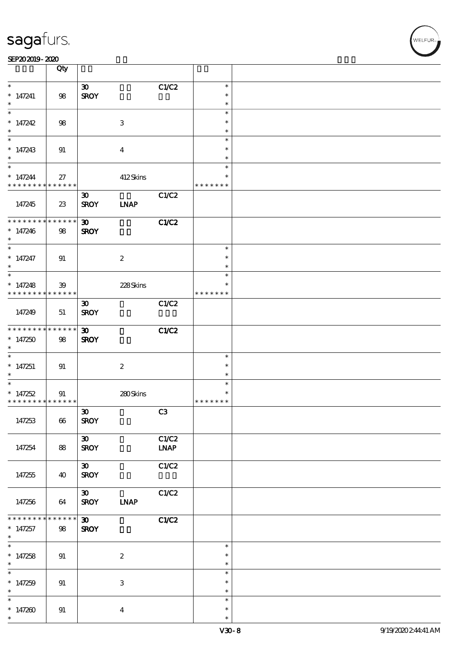|                                            | Qty                 |                             |                           |       |               |  |
|--------------------------------------------|---------------------|-----------------------------|---------------------------|-------|---------------|--|
| $\ast$                                     |                     | $\boldsymbol{\mathfrak{D}}$ |                           | C1/C2 | $\ast$        |  |
| $* 147241$                                 | 98                  | <b>SROY</b>                 |                           |       | $\ast$        |  |
| $\ast$                                     |                     |                             |                           |       | $\ast$        |  |
| $\ast$                                     |                     |                             |                           |       | $\ast$        |  |
| * $147242$                                 | 98                  |                             | $\ensuremath{\mathbf{3}}$ |       | $\ast$        |  |
| $\ast$                                     |                     |                             |                           |       | $\ast$        |  |
| $\ast$                                     |                     |                             |                           |       | $\ast$        |  |
| * $147243$                                 | 91                  |                             | $\overline{4}$            |       | $\ast$        |  |
|                                            |                     |                             |                           |       | $\ast$        |  |
| $*$                                        |                     |                             |                           |       | $\ast$        |  |
|                                            |                     |                             |                           |       | $\ast$        |  |
| $* 147244$                                 | 27                  |                             | 412Skins                  |       |               |  |
| * * * * * * * * <mark>* * * * * * *</mark> |                     |                             |                           |       | * * * * * * * |  |
|                                            |                     | $\boldsymbol{\mathfrak{D}}$ |                           | C1/C2 |               |  |
| 147245                                     | 23                  | <b>SROY</b>                 | <b>INAP</b>               |       |               |  |
|                                            |                     |                             |                           |       |               |  |
| * * * * * * * *                            | $******$            | $\boldsymbol{\mathfrak{D}}$ |                           | C1/C2 |               |  |
| $*147246$                                  | 98                  | <b>SROY</b>                 |                           |       |               |  |
| $\ast$                                     |                     |                             |                           |       |               |  |
| $\overline{\phantom{0}}$                   |                     |                             |                           |       | $\ast$        |  |
| $* 147247$                                 | 91                  |                             | $\boldsymbol{2}$          |       | $\ast$        |  |
| $\ast$                                     |                     |                             |                           |       | $\ast$        |  |
|                                            |                     |                             |                           |       | $\ast$        |  |
| * $147248$                                 |                     |                             |                           |       | $\ast$        |  |
| * * * * * * * *                            | 39<br>* * * * * * * |                             | 228Skins                  |       | * * * * * * * |  |
|                                            |                     |                             |                           |       |               |  |
|                                            |                     | $\boldsymbol{\mathfrak{D}}$ |                           | C1/C2 |               |  |
| 147249                                     | 51                  | <b>SROY</b>                 |                           |       |               |  |
|                                            |                     |                             |                           |       |               |  |
| * * * * * * * * <mark>* * * * * * *</mark> |                     | $\boldsymbol{\mathfrak{D}}$ |                           | C1/C2 |               |  |
| $*147250$                                  | 98                  | <b>SROY</b>                 |                           |       |               |  |
| $\ast$                                     |                     |                             |                           |       |               |  |
| $\overline{\ast}$                          |                     |                             |                           |       | $\ast$        |  |
| $*147251$                                  | 91                  |                             | $\boldsymbol{2}$          |       | $\ast$        |  |
| $\ast$                                     |                     |                             |                           |       | $\ast$        |  |
| $\ast$                                     |                     |                             |                           |       | $\ast$        |  |
| $*147252$                                  | 91                  |                             | 280Skins                  |       | $\ast$        |  |
| * * * * * * * * <mark>* * * * * *</mark>   |                     |                             |                           |       | * * * * * * * |  |
|                                            |                     | $\boldsymbol{\mathfrak{D}}$ |                           | C3    |               |  |
| 147253                                     | 66                  | <b>SROY</b>                 |                           |       |               |  |
|                                            |                     |                             |                           |       |               |  |
|                                            |                     | $\boldsymbol{\mathfrak{D}}$ |                           | C1/C2 |               |  |
|                                            |                     |                             |                           |       |               |  |
| 147254                                     | 88                  | <b>SROY</b>                 |                           | INAP  |               |  |
|                                            |                     |                             |                           |       |               |  |
|                                            |                     | $\boldsymbol{\mathfrak{D}}$ |                           | C1/C2 |               |  |
| 147255                                     | 40                  | <b>SROY</b>                 |                           |       |               |  |
|                                            |                     |                             |                           |       |               |  |
|                                            |                     | $\boldsymbol{\mathfrak{D}}$ |                           | C1/C2 |               |  |
| 147256                                     | 64                  | <b>SROY</b>                 | <b>LNAP</b>               |       |               |  |
|                                            |                     |                             |                           |       |               |  |
| * * * * * * * *                            | $* * * * * * *$     | $\boldsymbol{\mathfrak{D}}$ |                           | C1/C2 |               |  |
| $*147257$                                  | 98                  | <b>SROY</b>                 |                           |       |               |  |
| $\ast$                                     |                     |                             |                           |       |               |  |
| $\ast$                                     |                     |                             |                           |       | $\ast$        |  |
| $*147258$                                  | 91                  |                             | $\boldsymbol{2}$          |       | $\ast$        |  |
| $\ast$                                     |                     |                             |                           |       | $\ast$        |  |
| $\ast$                                     |                     |                             |                           |       | $\ast$        |  |
| * $147259$                                 | 91                  |                             | $\ensuremath{\mathbf{3}}$ |       | $\ast$        |  |
| $\ast$                                     |                     |                             |                           |       | $\ast$        |  |
| $\ast$                                     |                     |                             |                           |       | $\ast$        |  |
|                                            |                     |                             |                           |       |               |  |
| * $147200$                                 | $91\,$              |                             | $\overline{\mathbf{4}}$   |       | $\ast$        |  |
| $\ast$                                     |                     |                             |                           |       | $\ast$        |  |

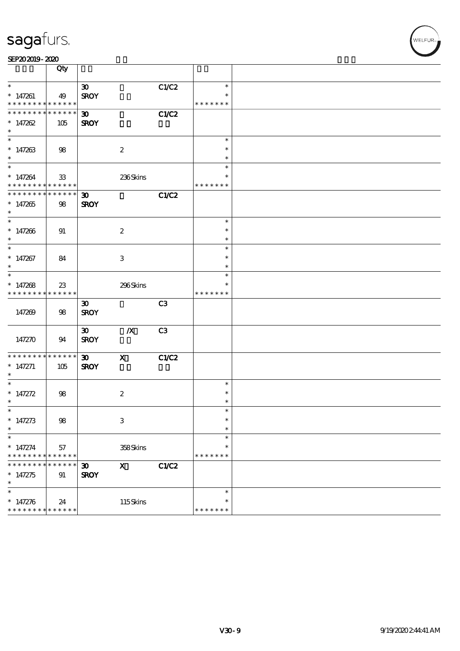|                                                          | Qty           |                             |                           |       |                  |  |
|----------------------------------------------------------|---------------|-----------------------------|---------------------------|-------|------------------|--|
| $\ast$                                                   |               | $\boldsymbol{\mathfrak{D}}$ |                           | C1/C2 | $\ast$           |  |
| $*147261$                                                | 49            | <b>SROY</b>                 |                           |       |                  |  |
| * * * * * * * * * * * * * * *                            |               |                             |                           |       | * * * * * * *    |  |
| * * * * * * * * <mark>* * * * * * *</mark>               |               | $\boldsymbol{\mathfrak{D}}$ |                           | C1/C2 |                  |  |
| $* 147262$                                               | 105           | <b>SROY</b>                 |                           |       |                  |  |
| $\ast$                                                   |               |                             |                           |       |                  |  |
|                                                          |               |                             |                           |       | $\ast$           |  |
| $* 147263$                                               | 98            |                             | $\boldsymbol{2}$          |       | $\ast$           |  |
| $\ast$                                                   |               |                             |                           |       | $\ast$<br>$\ast$ |  |
|                                                          |               |                             |                           |       | $\ast$           |  |
| $* 147264$<br>* * * * * * * * <mark>* * * * * *</mark> * | 33            |                             | 236Skins                  |       | * * * * * * *    |  |
| * * * * * * * * * * * * * * <mark>*</mark>               |               | $\boldsymbol{\mathfrak{D}}$ |                           | C1/C2 |                  |  |
| $*147265$                                                | 98            | <b>SROY</b>                 |                           |       |                  |  |
| $*$                                                      |               |                             |                           |       |                  |  |
|                                                          |               |                             |                           |       | $\ast$           |  |
| $* 147206$                                               | 91            |                             | $\boldsymbol{z}$          |       | $\ast$           |  |
| $\ast$                                                   |               |                             |                           |       | $\ast$           |  |
|                                                          |               |                             |                           |       | $\ast$           |  |
| $* 147267$                                               | 84            |                             | 3                         |       | $\ast$           |  |
| $\ast$                                                   |               |                             |                           |       | $\ast$           |  |
|                                                          |               |                             |                           |       | $\ast$           |  |
| * $147268$                                               | 23            |                             | 296Skins                  |       | $\ast$           |  |
| * * * * * * * * * * * * * * *                            |               |                             |                           |       | * * * * * * *    |  |
|                                                          |               | $\boldsymbol{\mathfrak{D}}$ |                           | C3    |                  |  |
| 147269                                                   | 98            | <b>SROY</b>                 |                           |       |                  |  |
|                                                          |               |                             |                           |       |                  |  |
|                                                          |               | $\boldsymbol{\mathfrak{D}}$ | $\boldsymbol{X}$          | C3    |                  |  |
| 147270                                                   | 94            | <b>SROY</b>                 |                           |       |                  |  |
| * * * * * * * *                                          | * * * * * * * | $\boldsymbol{\mathfrak{D}}$ | $\mathbf{x}$              | C1/C2 |                  |  |
| $* 147271$                                               | 105           | <b>SROY</b>                 |                           |       |                  |  |
| $*$                                                      |               |                             |                           |       |                  |  |
| $\ast$                                                   |               |                             |                           |       | $\ast$           |  |
| * $147272$                                               | 98            |                             | $\boldsymbol{2}$          |       | $\ast$           |  |
| $\ast$                                                   |               |                             |                           |       | $\ast$           |  |
| $*$                                                      |               |                             |                           |       | $\ast$           |  |
| * $147273$                                               | 98            |                             | $\ensuremath{\mathbf{3}}$ |       | $\ast$           |  |
| $\ast$                                                   |               |                             |                           |       | $\ast$           |  |
| $\ast$                                                   |               |                             |                           |       | $\ast$           |  |
| $* 147274$                                               | 57            |                             | 358Skins                  |       | $\ast$           |  |
| * * * * * * * *                                          | * * * * * *   |                             |                           |       | * * * * * * *    |  |
| * * * *                                                  | * * * * *     | $\boldsymbol{\mathfrak{D}}$ | $\mathbf{x}$              | C1/C2 |                  |  |
| $* 147275$<br>$\ast$                                     | 91            | <b>SROY</b>                 |                           |       |                  |  |
| $\ast$                                                   |               |                             |                           |       | $\ast$           |  |
| $* 147276$                                               | 24            |                             | 115Skins                  |       | $\ast$           |  |
| * * * * * * * *                                          | * * * * * *   |                             |                           |       | * * * * * * *    |  |
|                                                          |               |                             |                           |       |                  |  |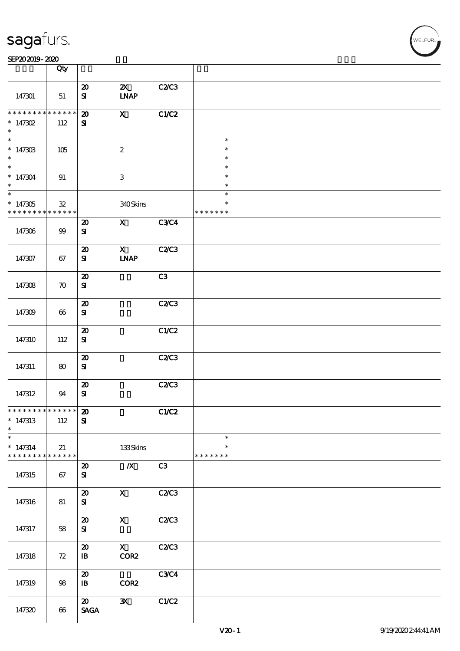| <b>saga</b> furs. |
|-------------------|
|-------------------|

#### SEP202019-2020

|                       | Qty                |                                         |                              |              |                    |  |
|-----------------------|--------------------|-----------------------------------------|------------------------------|--------------|--------------------|--|
|                       |                    |                                         |                              |              |                    |  |
|                       |                    | $\boldsymbol{\mathfrak{D}}$             | $\boldsymbol{\alpha}$        | C2C3         |                    |  |
| 147301                | 51                 | ${\bf s}$                               | $\ensuremath{\mathbf{INAP}}$ |              |                    |  |
|                       |                    |                                         |                              |              |                    |  |
|                       |                    |                                         |                              |              |                    |  |
| * * * * * * * *       | ******             | $\boldsymbol{\mathbf{z}}$               | $\mathbf{X}$                 | C1/C2        |                    |  |
| $* 147302$            | 112                | ${\bf s}$                               |                              |              |                    |  |
| $\ast$                |                    |                                         |                              |              |                    |  |
| $\ast$                |                    |                                         |                              |              |                    |  |
|                       |                    |                                         |                              |              | $\ast$             |  |
| $*14730B$             | 105                |                                         | $\boldsymbol{2}$             |              | $\ast$             |  |
| $\ast$                |                    |                                         |                              |              | $\ast$             |  |
| $\ast$                |                    |                                         |                              |              |                    |  |
|                       |                    |                                         |                              |              | $\ast$             |  |
| $*147304$             | 91                 |                                         | $\ensuremath{\mathbf{3}}$    |              | $\ast$             |  |
| $\ast$                |                    |                                         |                              |              | $\ast$             |  |
|                       |                    |                                         |                              |              |                    |  |
| $\overline{\ast}$     |                    |                                         |                              |              | $\ast$             |  |
| $*147305$             | $\mathfrak{B}$     |                                         | 340Skins                     |              | $\ast$             |  |
| * * * * * * * *       | ******             |                                         |                              |              | * * * * * * *      |  |
|                       |                    |                                         |                              |              |                    |  |
|                       |                    | $\boldsymbol{\mathfrak{D}}$             | $\mathbf{X}$                 | <b>C3C4</b>  |                    |  |
| 147306                | 99                 | ${\bf s}$                               |                              |              |                    |  |
|                       |                    |                                         |                              |              |                    |  |
|                       |                    |                                         |                              |              |                    |  |
|                       |                    | $\boldsymbol{\mathfrak{D}}$             | $\mathbf{x}$                 | <b>C2/C3</b> |                    |  |
| 147307                | 67                 | ${\bf s}$                               | $\ensuremath{\mathbf{INAP}}$ |              |                    |  |
|                       |                    |                                         |                              |              |                    |  |
|                       |                    |                                         |                              |              |                    |  |
|                       |                    | $\boldsymbol{\mathfrak{D}}$             |                              | C3           |                    |  |
| 147308                | $\boldsymbol{\pi}$ | ${\bf S}$                               |                              |              |                    |  |
|                       |                    |                                         |                              |              |                    |  |
|                       |                    |                                         |                              |              |                    |  |
|                       |                    | $\boldsymbol{\boldsymbol{\mathrm{20}}}$ |                              | C2C3         |                    |  |
| 147309                | 66                 | ${\bf s}$                               |                              |              |                    |  |
|                       |                    |                                         |                              |              |                    |  |
|                       |                    |                                         |                              |              |                    |  |
|                       |                    | $\boldsymbol{\mathsf{20}}$              |                              | C1/C2        |                    |  |
| 147310                | 112                | ${\bf s}$                               |                              |              |                    |  |
|                       |                    |                                         |                              |              |                    |  |
|                       |                    |                                         |                              |              |                    |  |
|                       |                    | $\boldsymbol{\mathfrak{D}}$             |                              | C2C3         |                    |  |
|                       |                    | ${\bf S}$                               |                              |              |                    |  |
| 147311                | 80                 |                                         |                              |              |                    |  |
|                       |                    |                                         |                              |              |                    |  |
|                       |                    | $\boldsymbol{\mathbf{z}}$               |                              | C2C3         |                    |  |
|                       | 94                 | ${\bf s}$                               |                              |              |                    |  |
| 147312                |                    |                                         |                              |              |                    |  |
|                       |                    |                                         |                              |              |                    |  |
| ****************** 20 |                    |                                         |                              | C1/C2        |                    |  |
| $*147313$             | 112                | ${\bf s}$                               |                              |              |                    |  |
|                       |                    |                                         |                              |              |                    |  |
| $\ast$                |                    |                                         |                              |              |                    |  |
| $\ast$                |                    |                                         |                              |              | $\ast$             |  |
| $* 147314$            |                    |                                         |                              |              | $\ast$             |  |
|                       | 21                 |                                         | $133$ Skins                  |              |                    |  |
| * * * * * * * *       | $******$           |                                         |                              |              | * * * * *<br>$* *$ |  |
|                       |                    | $\boldsymbol{\mathsf{20}}$              | $\pmb{X}$                    | C3           |                    |  |
| 147315                | 67                 | ${\bf s}$                               |                              |              |                    |  |
|                       |                    |                                         |                              |              |                    |  |
|                       |                    |                                         |                              |              |                    |  |
|                       |                    | $\boldsymbol{\mathfrak{D}}$             | $\mathbf X$                  | C2C3         |                    |  |
|                       |                    | ${\bf S}$                               |                              |              |                    |  |
| 147316                | 81                 |                                         |                              |              |                    |  |
|                       |                    |                                         |                              |              |                    |  |
|                       |                    | $\boldsymbol{\mathbf{z}}$               | $\mathbf X$                  | C2C3         |                    |  |
|                       |                    | ${\bf S\!I}$                            |                              |              |                    |  |
| 147317                | 58                 |                                         |                              |              |                    |  |
|                       |                    |                                         |                              |              |                    |  |
|                       |                    | $\boldsymbol{\mathsf{20}}$              | $\mathbf{x}$                 | C2C3         |                    |  |
|                       |                    |                                         | COR2                         |              |                    |  |
| 147318                | 72                 | $\mathbf{B}$                            |                              |              |                    |  |
|                       |                    |                                         |                              |              |                    |  |
|                       |                    | $\boldsymbol{\mathfrak{D}}$             |                              | C3C4         |                    |  |
|                       |                    |                                         |                              |              |                    |  |
| 147319                | $98\,$             | $\mathbf{B}$                            | COR <sub>2</sub>             |              |                    |  |
|                       |                    |                                         |                              |              |                    |  |
|                       |                    | $\boldsymbol{\mathfrak{D}}$             | $\mathbf{x}$                 | C1/C2        |                    |  |
|                       |                    |                                         |                              |              |                    |  |
| 147320                | 66                 | $\operatorname{\mathsf{SAGA}}$          |                              |              |                    |  |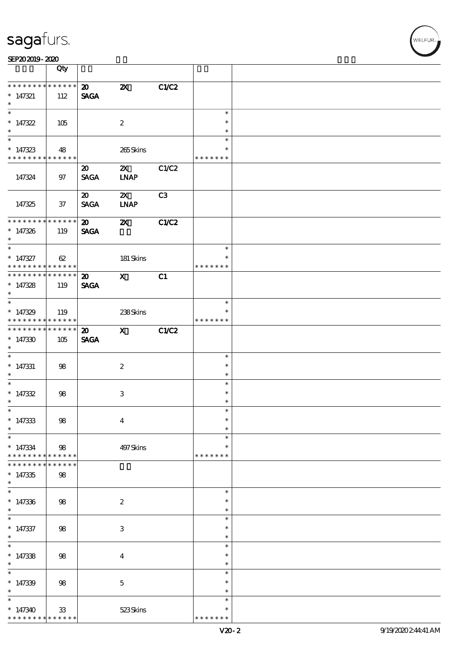| SEP202019-2020 |  |  |  |
|----------------|--|--|--|
|----------------|--|--|--|

|                                                                       | Qty                   |                                            |                             |       |                                   |  |
|-----------------------------------------------------------------------|-----------------------|--------------------------------------------|-----------------------------|-------|-----------------------------------|--|
| * * * * * * * * * * * * * *<br>$* 147321$<br>$\ast$                   | 112                   | $\boldsymbol{\mathsf{20}}$<br><b>SAGA</b>  | $\boldsymbol{\mathsf{z}}$   | C1/C2 |                                   |  |
| $\overline{\ast}$<br>$*147322$<br>$\ast$                              | 105                   |                                            | $\boldsymbol{2}$            |       | $\ast$<br>$\ast$<br>$\ast$        |  |
| $\overline{\phantom{0}}$<br>$* 147323$<br>* * * * * * * * * * * * * * | 48                    |                                            | 265Skins                    |       | $\ast$<br>$\ast$<br>* * * * * * * |  |
| 147324                                                                | 97                    | $\boldsymbol{\mathfrak{D}}$<br><b>SAGA</b> | $\mathbf{x}$<br><b>INAP</b> | C1/C2 |                                   |  |
| 147325                                                                | $37\,$                | $\boldsymbol{\mathfrak{D}}$<br><b>SAGA</b> | $\mathbf{X}$<br><b>INAP</b> | C3    |                                   |  |
| * * * * * * * * * * * * * *<br>$* 147326$<br>$*$                      | 119                   | $\boldsymbol{\omega}$<br><b>SAGA</b>       | $\boldsymbol{\mathsf{X}}$   | C1/C2 |                                   |  |
| $\ast$<br>$* 147327$<br>* * * * * * * * * * * * * * *                 | 62                    |                                            | 181 Skins                   |       | $\ast$<br>$\ast$<br>* * * * * * * |  |
| * * * * * * * * * * * * * *<br>$* 147328$<br>$\ast$                   | 119                   | $\boldsymbol{\mathfrak{D}}$<br><b>SAGA</b> | $\mathbf{X}$                | C1    |                                   |  |
| $*147329$<br>* * * * * * * * * * * * * *                              | 119                   |                                            | 238Skins                    |       | $\ast$<br>* * * * * * *           |  |
| * * * * * * * * * * * * * *<br>$*147330$<br>$\ast$                    | 105                   | $\boldsymbol{\mathfrak{D}}$<br><b>SAGA</b> | $\mathbf{X}$                | C1/C2 |                                   |  |
| $\overline{\phantom{0}}$<br>$*$ 147331<br>$*$                         | 98                    |                                            | $\boldsymbol{2}$            |       | $\ast$<br>$\ast$<br>$\ast$        |  |
| $* 147332$<br>$\ast$                                                  | 98                    |                                            | $\,3$                       |       | $\ast$<br>$\ast$<br>$\ast$        |  |
| $*$ $\qquad$<br>$* 147333$<br>$\ast$                                  | $98\,$                |                                            | $\boldsymbol{4}$            |       | $\ast$<br>$\ast$<br>$\ast$        |  |
| $\ast$<br>$* 147334$<br>* * * * * * * * <mark>* * * * * *</mark> *    | 98                    |                                            | 497Skins                    |       | $\ast$<br>∗<br>* * * * * * *      |  |
| * * * * * * *<br>$*147335$<br>$\ast$                                  | * * * * *<br>98       |                                            |                             |       |                                   |  |
| $\ast$<br>$* 147336$<br>$\ast$                                        | 98                    |                                            | $\boldsymbol{2}$            |       | $\ast$<br>∗<br>$\ast$             |  |
| $\ast$<br>$* 147337$<br>$\ast$                                        | 98                    |                                            | $\ensuremath{\mathbf{3}}$   |       | $\ast$<br>$\ast$<br>$\ast$        |  |
| $\overline{\ast}$<br>$* 147338$<br>$\ast$                             | 98                    |                                            | $\boldsymbol{4}$            |       | $\ast$<br>$\ast$<br>$\ast$        |  |
| $\ast$<br>$* 147339$<br>$\ast$                                        | 98                    |                                            | $\mathbf 5$                 |       | $\ast$<br>$\ast$<br>$\ast$        |  |
| $\ast$<br>$*147340$<br>* * * * * * * *                                | $33\,$<br>* * * * * * |                                            | $523\mathrm{S}$ kins        |       | $\ast$<br>∗<br>* * * * * * *      |  |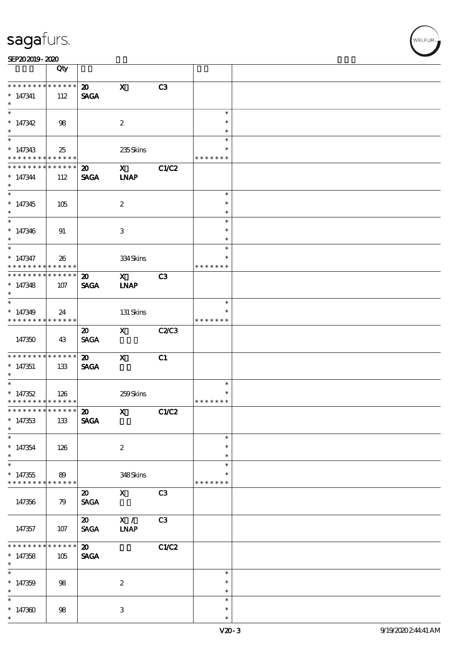| SEP202019-2020 |  |  |  |
|----------------|--|--|--|
|----------------|--|--|--|

|                                                                       | Qty                    |                                                                     |                                                                                                                                                                                                                                                                                                                                                |              |                                      |  |
|-----------------------------------------------------------------------|------------------------|---------------------------------------------------------------------|------------------------------------------------------------------------------------------------------------------------------------------------------------------------------------------------------------------------------------------------------------------------------------------------------------------------------------------------|--------------|--------------------------------------|--|
| * * * * * * * *<br>$* 147341$                                         | $* * * * * * *$<br>112 | $\boldsymbol{\mathsf{20}}$<br><b>SAGA</b>                           | $\mathbf{x}$                                                                                                                                                                                                                                                                                                                                   | C3           |                                      |  |
| $\ast$<br>$*147342$                                                   | 98                     |                                                                     | $\boldsymbol{2}$                                                                                                                                                                                                                                                                                                                               |              | $\ast$<br>$\ast$                     |  |
| $\ast$<br>$* 147343$<br>* * * * * * * *                               | 25<br>* * * * * *      |                                                                     | 235Skins                                                                                                                                                                                                                                                                                                                                       |              | $\ast$<br>$\ast$<br>* * * * * * *    |  |
| * * * * * * * *<br>$* 147344$<br>$\ast$                               | $* * * * * * *$<br>112 | $\boldsymbol{\mathfrak{D}}$<br><b>SAGA</b>                          | $\mathbf x$ and $\mathbf x$ and $\mathbf x$ and $\mathbf x$ and $\mathbf x$ and $\mathbf x$ and $\mathbf x$ and $\mathbf x$ and $\mathbf x$ and $\mathbf x$ and $\mathbf x$ and $\mathbf x$ and $\mathbf x$ and $\mathbf x$ and $\mathbf x$ and $\mathbf x$ and $\mathbf x$ and $\mathbf x$ and $\mathbf x$ and $\mathbf x$ and<br><b>LNAP</b> | C1/C2        |                                      |  |
| $\overline{\ast}$<br>$*147345$<br>$*$                                 | 105                    |                                                                     | $\boldsymbol{2}$                                                                                                                                                                                                                                                                                                                               |              | $\ast$<br>$\ast$<br>$\ast$           |  |
| $* 147346$<br>$\ast$                                                  | 91                     |                                                                     | 3                                                                                                                                                                                                                                                                                                                                              |              | $\ast$<br>$\ast$<br>$\ast$           |  |
| $*$<br>$* 147347$<br>* * * * * * * * * * * * * * *                    | 26                     |                                                                     | 334Skins                                                                                                                                                                                                                                                                                                                                       |              | $\ast$<br>$\ast$<br>* * * * * * *    |  |
| ******** <mark>******</mark><br>$* 147348$<br>$\ast$                  | 107                    | $\boldsymbol{\mathfrak{D}}$<br><b>SAGA</b>                          | $\mathbf{x}$<br><b>INAP</b>                                                                                                                                                                                                                                                                                                                    | C3           |                                      |  |
| $\overline{\ast}$<br>$*147349$<br>* * * * * * * * * * * * * *         | 24                     |                                                                     | 131 Skins                                                                                                                                                                                                                                                                                                                                      |              | $\ast$<br>* * * * * * *              |  |
| 147350                                                                | 43                     | $\boldsymbol{\mathfrak{D}}$<br><b>SAGA</b>                          | $\mathbf{X}$                                                                                                                                                                                                                                                                                                                                   | <b>C2/C3</b> |                                      |  |
| * * * * * * * *<br>$*147351$<br>$*$                                   | * * * * * *<br>133     | $\boldsymbol{\mathfrak{D}}$<br><b>SAGA</b>                          | $\mathbf{x}$                                                                                                                                                                                                                                                                                                                                   | C1           |                                      |  |
| $*147352$<br>* * * * * * * * <mark>* * * * * * *</mark>               | 126                    |                                                                     | 259Skins                                                                                                                                                                                                                                                                                                                                       |              | $\ast$<br>$\ast$<br>* * * * * * *    |  |
| *************** 20<br>$*147353$<br>$\ast$<br>$\overline{\phantom{0}}$ | 133                    | <b>SAGA</b>                                                         | $X$ $C1C2$                                                                                                                                                                                                                                                                                                                                     |              |                                      |  |
| $* 147354$<br>$\ast$                                                  | 126                    |                                                                     | $\boldsymbol{2}$                                                                                                                                                                                                                                                                                                                               |              | $\ast$<br>$\ast$<br>$\ast$<br>$\ast$ |  |
| $*147355$<br>* * * * * * * *                                          | 89<br>* * * * * *      |                                                                     | 348Skins                                                                                                                                                                                                                                                                                                                                       |              | * * * * * * *                        |  |
| 147356                                                                | 79                     | $\boldsymbol{\mathfrak{D}}$<br><b>SAGA</b>                          | $\mathbf{X}$<br>X /                                                                                                                                                                                                                                                                                                                            | C3           |                                      |  |
| 147357<br>* * * * * * *                                               | 107<br>* * * * * *     | $\boldsymbol{\omega}$<br><b>SAGA</b><br>$\boldsymbol{\mathfrak{D}}$ | <b>INAP</b>                                                                                                                                                                                                                                                                                                                                    | C3<br>C1/C2  |                                      |  |
| $*147358$<br>$\ast$<br>$\overline{\phantom{0}}$                       | 105                    | <b>SAGA</b>                                                         |                                                                                                                                                                                                                                                                                                                                                |              | $\ast$                               |  |
| $*147359$<br>$\ast$<br>$*$                                            | 98                     |                                                                     | $\boldsymbol{2}$                                                                                                                                                                                                                                                                                                                               |              | $\ast$<br>$\ast$<br>$\ast$           |  |
| $*147300$<br>$\ast$                                                   | 98                     |                                                                     | 3                                                                                                                                                                                                                                                                                                                                              |              | $\ast$<br>$\ast$                     |  |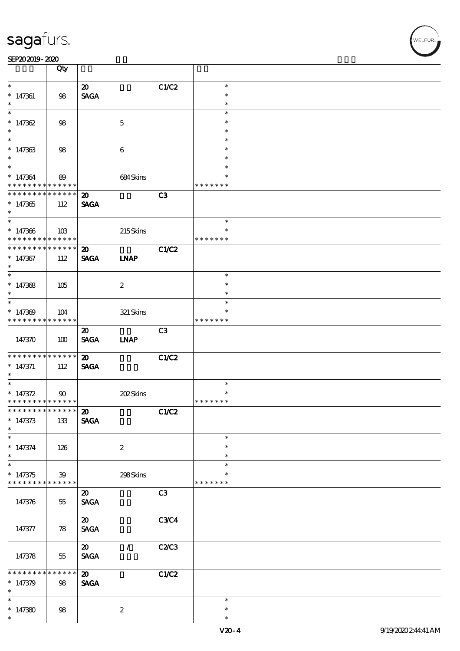|                                            | Qty             |                              |                  |                |               |  |
|--------------------------------------------|-----------------|------------------------------|------------------|----------------|---------------|--|
| $\ast$                                     |                 | $\boldsymbol{\mathfrak{D}}$  |                  | C1/C2          | $\ast$        |  |
| $* 147361$                                 | 98              | <b>SAGA</b>                  |                  |                | $\ast$        |  |
| $\ast$                                     |                 |                              |                  |                | $\ast$        |  |
|                                            |                 |                              |                  |                | $\ast$        |  |
| $*147362$                                  | 98              |                              | $\mathbf{5}$     |                | $\ast$        |  |
| $\ast$                                     |                 |                              |                  |                | $\ast$        |  |
|                                            |                 |                              |                  |                | $\ast$        |  |
| $*147363$                                  | 98              |                              | $\boldsymbol{6}$ |                | $\ast$        |  |
| $\ast$                                     |                 |                              |                  |                | $\ast$        |  |
| $\ast$                                     |                 |                              |                  |                | $\ast$        |  |
| $* 147364$                                 | 89              |                              | 684Skins         |                | $\ast$        |  |
| * * * * * * * * <mark>* * * * * *</mark>   |                 |                              |                  |                | * * * * * * * |  |
| * * * * * * * * * * * * * * *              |                 | $\boldsymbol{\mathfrak{D}}$  |                  | C <sub>3</sub> |               |  |
| $*147365$                                  | 112             | <b>SAGA</b>                  |                  |                |               |  |
| $\ast$                                     |                 |                              |                  |                |               |  |
| $\overline{\phantom{0}}$                   |                 |                              |                  |                | $\ast$        |  |
| $*147366$                                  | 10B             |                              | 215Skins         |                | $\ast$        |  |
| * * * * * * * * <mark>* * * * * * *</mark> |                 |                              |                  |                | * * * * * * * |  |
| * * * * * * * * * * * * * * *              |                 | $\boldsymbol{\mathfrak{D}}$  |                  | C1/C2          |               |  |
| $*147367$                                  | 112             | <b>SAGA</b>                  | <b>INAP</b>      |                |               |  |
| $\ast$                                     |                 |                              |                  |                |               |  |
| $\overline{\phantom{0}}$                   |                 |                              |                  |                | $\ast$        |  |
| $*147368$                                  | 105             |                              | $\boldsymbol{2}$ |                | $\ast$        |  |
| $\ast$                                     |                 |                              |                  |                | $\ast$        |  |
| $\overline{\phantom{0}}$                   |                 |                              |                  |                | $\ast$        |  |
| $*147309$                                  | 104             |                              | 321 Skins        |                |               |  |
| * * * * * * * * <mark>* * * * * *</mark>   |                 |                              |                  |                | * * * * * * * |  |
|                                            |                 | $\boldsymbol{\mathfrak{D}}$  |                  | C3             |               |  |
| 147370                                     | 100             | <b>SAGA</b>                  | <b>INAP</b>      |                |               |  |
|                                            |                 |                              |                  |                |               |  |
| * * * * * * * * <mark>* * * * * *</mark>   |                 | $\boldsymbol{\mathsf{20}}$   |                  | C1/C2          |               |  |
| $* 147371$                                 | 112             | <b>SAGA</b>                  |                  |                |               |  |
| $\ast$                                     |                 |                              |                  |                |               |  |
| $*$                                        |                 |                              |                  |                | $\ast$        |  |
| * $147372$                                 | $90^{\circ}$    |                              | 202Skins         |                | $\ast$        |  |
| * * * * * * * * <mark>* * * * * * *</mark> |                 |                              |                  |                | * * * * * * * |  |
| ************** 20                          |                 |                              |                  | C1/C2          |               |  |
| $* 147373$                                 | 133             | <b>SAGA</b>                  |                  |                |               |  |
| $\ast$                                     |                 |                              |                  |                |               |  |
| $\ast$                                     |                 |                              |                  |                | $\ast$        |  |
| $* 147374$                                 | 126             |                              | $\boldsymbol{2}$ |                | $\ast$        |  |
| $\ast$                                     |                 |                              |                  |                | $\ast$        |  |
|                                            |                 |                              |                  |                | $\ast$        |  |
| $*147375$                                  | 39              |                              | 298Skins         |                |               |  |
| * * * * * * * * <mark>*</mark>             | $* * * * * * *$ |                              |                  |                | * * * * * * * |  |
|                                            |                 | $\boldsymbol{\mathfrak{D}}$  |                  | C3             |               |  |
| 147376                                     | 55              | $\ensuremath{\mathsf{SAGA}}$ |                  |                |               |  |
|                                            |                 |                              |                  |                |               |  |
|                                            |                 | $\boldsymbol{\mathfrak{D}}$  |                  | <b>C3C4</b>    |               |  |
| 147377                                     | 78              | <b>SAGA</b>                  |                  |                |               |  |
|                                            |                 |                              |                  |                |               |  |
|                                            |                 | $\boldsymbol{\mathfrak{D}}$  | $\mathcal{L}$    | C2/C3          |               |  |
| 147378                                     | $55\,$          | <b>SAGA</b>                  |                  |                |               |  |
|                                            |                 |                              |                  |                |               |  |
| * * * * *                                  | * * * * * *     | $\boldsymbol{\mathfrak{D}}$  |                  | C1/C2          |               |  |
| $* 147379$                                 | 98              | <b>SAGA</b>                  |                  |                |               |  |
| $\ast$                                     |                 |                              |                  |                |               |  |
| $\ast$                                     |                 |                              |                  |                | $\ast$        |  |
| $*147380$                                  | 98              |                              | $\boldsymbol{z}$ |                | $\ast$        |  |
| $\ast$                                     |                 |                              |                  |                | $\ast$        |  |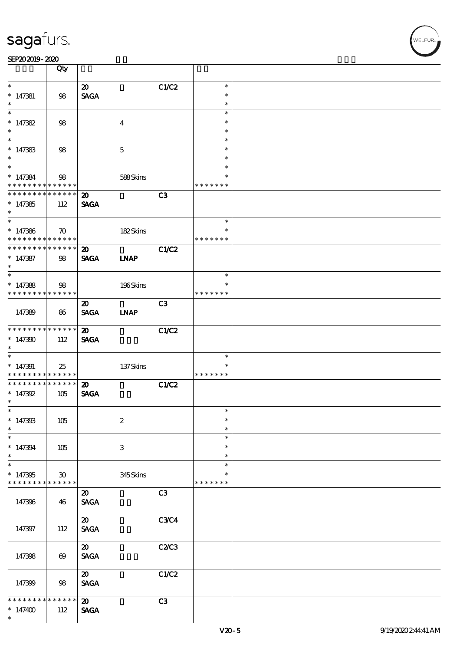| SEP202019-2020                                        |                                    |                                            |                  |                |                         |  |
|-------------------------------------------------------|------------------------------------|--------------------------------------------|------------------|----------------|-------------------------|--|
|                                                       | Qty                                |                                            |                  |                |                         |  |
| $\ast$                                                |                                    | $\boldsymbol{\mathfrak{D}}$                |                  | C1/C2          | $\ast$                  |  |
| $* 147381$<br>$\ast$                                  | 98                                 | <b>SAGA</b>                                |                  |                | $\ast$<br>$\ast$        |  |
| $\ast$                                                |                                    |                                            |                  |                | $\ast$                  |  |
| $*147382$<br>$\ast$                                   | 98                                 |                                            | $\overline{4}$   |                | $\ast$<br>$\ast$        |  |
| $\ast$                                                |                                    |                                            |                  |                | $\ast$<br>$\ast$        |  |
| $*147383$<br>$\ast$<br>$\overline{\ast}$              | 98                                 |                                            | $\mathbf{5}$     |                | $\ast$                  |  |
| $* 147384$                                            | 98                                 |                                            | 588Skins         |                | $\ast$<br>$\ast$        |  |
| * * * * * * * *<br>* * * * * * * *                    | $* * * * * * *$<br>$* * * * * * *$ | $\boldsymbol{\mathfrak{D}}$                |                  | C <sub>3</sub> | * * * * * * *           |  |
| $*147385$<br>$\ast$                                   | 112                                | <b>SAGA</b>                                |                  |                |                         |  |
|                                                       |                                    |                                            |                  |                | $\ast$                  |  |
| $*147386$<br>* * * * * * * * <mark>* * * * * *</mark> | $\boldsymbol{\pi}$                 |                                            | 182Skins         |                | $\ast$<br>* * * * * * * |  |
| * * * * * * * * * * * * * * *                         |                                    | $\boldsymbol{\mathfrak{D}}$                |                  | C1/C2          |                         |  |
| $* 147387$<br>$\ast$                                  | 98                                 | <b>SAGA</b>                                | <b>INAP</b>      |                |                         |  |
| $\ast$<br>$*147388$                                   | 98                                 |                                            | 196Skins         |                | $\ast$<br>$\ast$        |  |
| * * * * * * * *                                       | * * * * * *                        |                                            |                  |                | * * * * * * *           |  |
|                                                       |                                    | $\boldsymbol{\mathfrak{D}}$                |                  | C3             |                         |  |
| 147389                                                | 86                                 | <b>SAGA</b>                                | <b>INAP</b>      |                |                         |  |
| * * * * * * * * <mark>* * * * * * *</mark>            |                                    | $\boldsymbol{\mathfrak{D}}$                |                  | C1/C2          |                         |  |
| $*147390$<br>$\ast$<br>$\overline{\phantom{0}}$       | 112                                | <b>SAGA</b>                                |                  |                |                         |  |
| $*147391$                                             | 25                                 |                                            | $137$ Skins      |                | $\ast$<br>$\ast$        |  |
| * * * * * * * * <mark>* * * * * *</mark>              |                                    |                                            |                  |                | * * * * * * *           |  |
| * * * * * * * *<br>$* 147392$<br>$\star$ .            | ******<br>105                      | $\boldsymbol{\mathfrak{D}}$<br><b>SAGA</b> |                  | C1/C2          |                         |  |
| $\ast$                                                |                                    |                                            |                  |                | $\ast$                  |  |
| $* 147308$<br>$\ast$                                  | 105                                |                                            | $\boldsymbol{2}$ |                | $\ast$<br>$\ast$        |  |
| $\ast$                                                |                                    |                                            |                  |                | $\ast$                  |  |
| $* 147394$<br>$\ast$                                  | 105                                |                                            | 3                |                | $\ast$<br>$\ast$        |  |
| $\ast$<br>$*147395$                                   | $\boldsymbol{\mathfrak{D}}$        |                                            | 345Skins         |                | $\ast$<br>$\ast$        |  |
| * * * * * * * *                                       | * * * * * * *                      |                                            |                  |                | * * * * * * *           |  |
| 147396                                                | 46                                 | $\boldsymbol{\mathfrak{D}}$<br><b>SAGA</b> |                  | C3             |                         |  |
| 147397                                                | 112                                | $\boldsymbol{\mathfrak{D}}$<br><b>SAGA</b> |                  | <b>C3C4</b>    |                         |  |
|                                                       |                                    |                                            |                  |                |                         |  |
| 147398                                                | $\boldsymbol{\omega}$              | $\boldsymbol{\mathfrak{D}}$<br><b>SAGA</b> |                  | C2C3           |                         |  |
| 147399                                                | 98                                 | $\boldsymbol{\mathfrak{D}}$<br><b>SAGA</b> |                  | C1/C2          |                         |  |
| * * * *<br>$*147400$<br>$\ast$                        | *****<br>*<br>112                  | $\boldsymbol{\mathfrak{D}}$<br><b>SAGA</b> |                  | C3             |                         |  |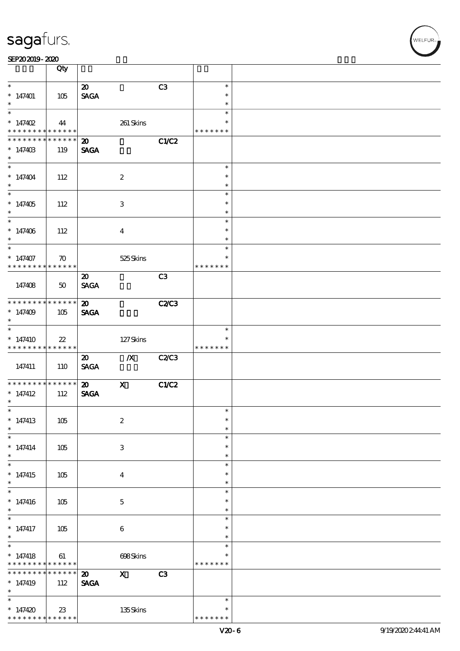|                                                                               | Qty                |                                            |                           |              |                                   |  |
|-------------------------------------------------------------------------------|--------------------|--------------------------------------------|---------------------------|--------------|-----------------------------------|--|
| $\ast$<br>$*147401$<br>$\ast$                                                 | 105                | $\boldsymbol{\mathfrak{D}}$<br><b>SAGA</b> |                           | C3           | $\ast$<br>$\ast$<br>$\ast$        |  |
| $\overline{\ast}$<br>$* 147402$<br>* * * * * * * *                            | 44<br>* * * * * *  |                                            | $261$ Skins               |              | $\ast$<br>$\ast$<br>* * * * * * * |  |
| * * * * * * *<br>$*14740B$<br>$\ast$                                          | * * * * * *<br>119 | $\boldsymbol{\mathbf{z}}$<br><b>SAGA</b>   |                           | C1/C2        |                                   |  |
| $\overline{\phantom{0}}$<br>$* 147404$<br>$\ast$                              | 112                |                                            | $\boldsymbol{2}$          |              | $\ast$<br>$\ast$<br>$\ast$        |  |
| $\overline{\ast}$<br>$*147405$<br>$\ast$                                      | 112                |                                            | $\,3\,$                   |              | $\ast$<br>$\ast$<br>$\ast$        |  |
| $\overline{\ast}$<br>$* 147406$<br>$\ast$                                     | 112                |                                            | $\boldsymbol{4}$          |              | $\ast$<br>$\ast$<br>$\ast$        |  |
| $\ast$<br>$* 147407$<br>* * * * * * * * * * * * * * *                         | $\boldsymbol{\pi}$ |                                            | 525Skins                  |              | $\ast$<br>$\ast$<br>* * * * * * * |  |
| 147408                                                                        | 50                 | $\boldsymbol{\mathfrak{D}}$<br><b>SAGA</b> |                           | C3           |                                   |  |
| * * * * * * * *<br>$*147409$<br>$\ast$                                        | ******<br>105      | $\boldsymbol{\mathsf{20}}$<br><b>SAGA</b>  |                           | <b>C2/C3</b> |                                   |  |
| $\ast$<br>$*147410$<br>* * * * * * * * <mark>* * * * * * *</mark>             | $22\,$             |                                            | 127Skins                  |              | $\ast$<br>$\ast$<br>* * * * * * * |  |
| 147411                                                                        | 110                | $\boldsymbol{\mathfrak{D}}$<br><b>SAGA</b> | $\boldsymbol{X}$          | <b>C2/C3</b> |                                   |  |
| **************<br>$*$ 147412<br>$\ast$                                        | 112                | $\boldsymbol{\mathfrak{D}}$<br><b>SAGA</b> | $\boldsymbol{\mathrm{X}}$ | C1/C2        |                                   |  |
| $*$<br>$*147413$<br>$\ast$                                                    | 105                |                                            | $\boldsymbol{2}$          |              | $\ast$<br>$\ast$<br>$\ast$        |  |
| $\ast$<br>$* 147414$<br>$\ast$                                                | 105                |                                            | $\,3\,$                   |              | $\ast$<br>$\ast$<br>$\ast$        |  |
| $\overline{\phantom{0}}$<br>$*$ 147415<br>$\ast$                              | 105                |                                            | $\boldsymbol{4}$          |              | $\ast$<br>$\ast$<br>$\ast$        |  |
| $\ast$<br>$* 147416$<br>$\ast$                                                | 105                |                                            | $\mathbf 5$               |              | $\ast$<br>$\ast$<br>$\ast$        |  |
| $\overline{\phantom{0}}$<br>$*$ 147417<br>$\ast$                              | 105                |                                            | $\bf 6$                   |              | $\ast$<br>$\ast$<br>$\ast$        |  |
| $\overline{\ast}$<br>$* 147418$<br>* * * * * * * * <mark>* * * * * * *</mark> | 61                 |                                            | 698Skins                  |              | $\ast$<br>∗<br>* * * * * * *      |  |
| * * * * * * *<br>$*147419$<br>$\ast$                                          | * * * * * *<br>112 | $\boldsymbol{\mathfrak{D}}$<br><b>SAGA</b> | $\boldsymbol{\mathrm{X}}$ | C3           |                                   |  |
| $\ast$<br>$*147420$<br>* * * * * * * * <mark>* * * * * * *</mark>             | 23                 |                                            | 135Skins                  |              | $\ast$<br>∗<br>* * * * * * *      |  |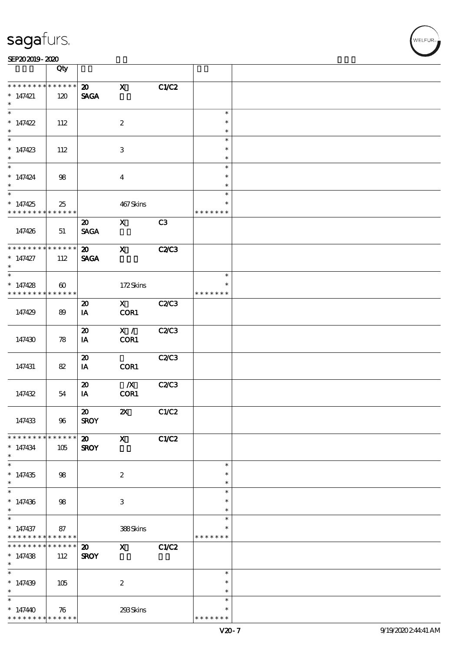|                               | Qty                                  |                                            |                           |              |                         |  |
|-------------------------------|--------------------------------------|--------------------------------------------|---------------------------|--------------|-------------------------|--|
| * * * * * * *                 | * * * * * *                          | $\boldsymbol{\mathfrak{D}}$                | $\mathbf x$               | C1/C2        |                         |  |
| $*$ 147421<br>$\ast$          | 120                                  | <b>SAGA</b>                                |                           |              |                         |  |
|                               |                                      |                                            |                           |              | $\ast$                  |  |
| $* 147422$                    | 112                                  |                                            | $\boldsymbol{z}$          |              | $\ast$                  |  |
| $\ast$                        |                                      |                                            |                           |              | $\ast$                  |  |
| $\ast$                        |                                      |                                            |                           |              | $\ast$                  |  |
| $*147423$                     | 112                                  |                                            | $\ensuremath{\mathbf{3}}$ |              | $\ast$<br>$\ast$        |  |
| $\ast$                        |                                      |                                            |                           |              | $\ast$                  |  |
| $* 147424$                    | 98                                   |                                            | $\boldsymbol{4}$          |              | $\ast$<br>$\ast$        |  |
|                               |                                      |                                            |                           |              | $\ast$                  |  |
| $*147425$<br>* * * * * * * *  | 25<br>* * * * * *                    |                                            | 467Skins                  |              | $\ast$<br>* * * * * * * |  |
|                               |                                      |                                            |                           |              |                         |  |
| 147426                        | 51                                   | $\boldsymbol{\mathfrak{D}}$<br><b>SAGA</b> | $\boldsymbol{\mathrm{X}}$ | C3           |                         |  |
| * * * * * * * *               | * * * * * *                          | $\boldsymbol{\mathfrak{D}}$                | $\mathbf x$               | <b>C2/C3</b> |                         |  |
| $*147427$<br>$\ast$           | 112                                  | <b>SAGA</b>                                |                           |              |                         |  |
|                               |                                      |                                            |                           |              | $\ast$                  |  |
|                               |                                      |                                            |                           |              | $\ast$                  |  |
| * $147428$<br>* * * * * * * * | $\boldsymbol{\omega}$<br>* * * * * * |                                            | 172Skins                  |              | * * * * * * *           |  |
|                               |                                      | $\boldsymbol{\boldsymbol{\mathrm{20}}}$    | $\mathbf x$               | C2C3         |                         |  |
| 147429                        | 89                                   | IA                                         | COR1                      |              |                         |  |
|                               |                                      | $\boldsymbol{\mathfrak{D}}$                | X /                       | C2/C3        |                         |  |
| 147430                        | 78                                   | IA                                         | COR1                      |              |                         |  |
|                               |                                      | $\boldsymbol{\mathfrak{D}}$                |                           | C2C3         |                         |  |
| 147431                        | 82                                   | IA                                         | COR1                      |              |                         |  |
|                               |                                      |                                            |                           |              |                         |  |
|                               |                                      | $\boldsymbol{\mathfrak{D}}$                | $\boldsymbol{X}$          | <b>C2/C3</b> |                         |  |
| 147432                        | 54                                   | IA                                         | COR1                      |              |                         |  |
|                               |                                      | $\boldsymbol{\mathfrak{D}}$                | $\boldsymbol{\alpha}$     | C1/C2        |                         |  |
| 147433                        | 96                                   | <b>SROY</b>                                |                           |              |                         |  |
| * * * * * * * *               | $* * * * * * *$                      | $\boldsymbol{\mathfrak{D}}$                | $\boldsymbol{\mathsf{X}}$ | C1/C2        |                         |  |
| $*147434$<br>$\ast$           | 105                                  | <b>SROY</b>                                |                           |              |                         |  |
| $\ast$                        |                                      |                                            |                           |              | $\ast$                  |  |
| $*147435$<br>$\ast$           | 98                                   |                                            | $\boldsymbol{2}$          |              | $\ast$<br>$\ast$        |  |
| $\overline{\ast}$             |                                      |                                            |                           |              | $\ast$                  |  |
| $*147436$                     |                                      |                                            | 3                         |              | $\ast$                  |  |
| $\ast$                        | 98                                   |                                            |                           |              | $\ast$                  |  |
|                               |                                      |                                            |                           |              | $\ast$                  |  |
| $* 147437$<br>* * * * * * * * | 87<br>******                         |                                            | 388Skins                  |              | *<br>* * * * * * *      |  |
| * * * * * * * *               | * * * * * *                          | $\boldsymbol{\mathfrak{D}}$                | $\mathbf x$               | C1/C2        |                         |  |
| $*147438$<br>$\ast$           | 112                                  | <b>SROY</b>                                |                           |              |                         |  |
| $\overline{\ast}$             |                                      |                                            |                           |              | $\ast$                  |  |
|                               |                                      |                                            |                           |              | $\ast$                  |  |
| $*147439$<br>$\ast$           | 105                                  |                                            | $\boldsymbol{2}$          |              | $\ast$                  |  |
| $\ast$                        |                                      |                                            |                           |              | $\ast$                  |  |
| $*14740$                      | 76                                   |                                            | 293Skins                  |              | $\ast$                  |  |
| * * * * * * * *               | * * * * * *                          |                                            |                           |              | * * * * * * *           |  |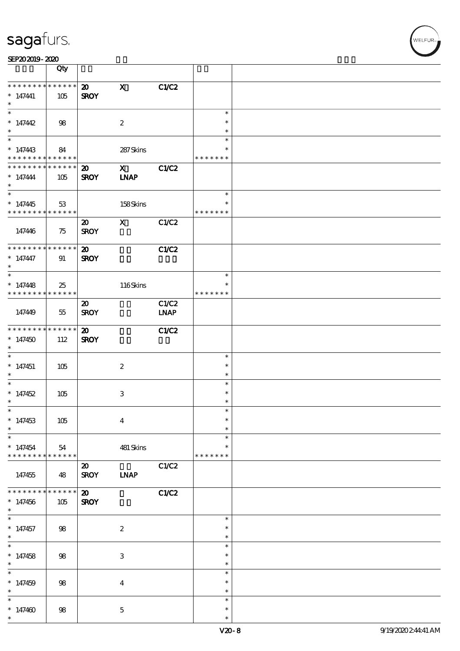| SEP202019-2020 |  |  |  |
|----------------|--|--|--|
|----------------|--|--|--|

|                                                                                      | Qty                |                                            |                            |                      |                                   |  |
|--------------------------------------------------------------------------------------|--------------------|--------------------------------------------|----------------------------|----------------------|-----------------------------------|--|
| * * * * * * * * * * * * * *<br>$*$ 147441<br>$\ast$                                  | 105                | $\boldsymbol{\mathfrak{D}}$<br><b>SROY</b> | $\mathbf x$                | C1/C2                |                                   |  |
| $\overline{\ast}$<br>$* 147442$<br>$\ast$                                            | 98                 |                                            | $\boldsymbol{2}$           |                      | $\ast$<br>$\ast$<br>$\ast$        |  |
| $\overline{\phantom{0}}$<br>$* 147443$<br>* * * * * * * * <mark>* * * * * * *</mark> | 84                 |                                            | 287Skins                   |                      | $\ast$<br>∗<br>* * * * * * *      |  |
| * * * * * * * *<br>$* 147444$<br>$\ast$                                              | * * * * * *<br>105 | $\boldsymbol{\mathfrak{D}}$<br><b>SROY</b> | $\mathbf X$<br><b>INAP</b> | C1/C2                |                                   |  |
| $\overline{\ast}$<br>$*147445$<br>* * * * * * * * * * * * * *                        | 53                 |                                            | 158Skins                   |                      | $\ast$<br>$\ast$<br>* * * * * * * |  |
| 147446                                                                               | 75                 | $\boldsymbol{\mathfrak{D}}$<br><b>SROY</b> | $\mathbf{X}$               | C1/C2                |                                   |  |
| * * * * * * * * * * * * * *<br>$* 147447$<br>$\ast$                                  | 91                 | $\boldsymbol{\mathfrak{D}}$<br><b>SROY</b> |                            | C1/C2                |                                   |  |
| $\ast$<br>$*147448$<br>* * * * * * * * * * * * * * *                                 | 25                 |                                            | $116$ Skins                |                      | $\ast$<br>$\ast$<br>* * * * * * * |  |
| 147449                                                                               | $55\,$             | $\boldsymbol{\mathfrak{D}}$<br><b>SROY</b> |                            | C1/C2<br><b>LNAP</b> |                                   |  |
| * * * * * * * *<br>$*147450$<br>$\ast$                                               | $******$<br>112    | $\boldsymbol{\mathfrak{D}}$<br><b>SROY</b> |                            | C1/C2                |                                   |  |
| $\ast$<br>$*$ 147451<br>$\ast$                                                       | 105                |                                            | $\boldsymbol{2}$           |                      | $\ast$<br>$\ast$<br>$\ast$        |  |
| $\ast$<br>$*147452$<br>$\ast$                                                        | 105                |                                            | $\,3\,$                    |                      | $\ast$<br>$\ast$<br>$\ast$        |  |
| $*$<br>$*147453$<br>$\ast$                                                           | 105                |                                            | $\boldsymbol{4}$           |                      | $\ast$<br>$\ast$<br>$\ast$        |  |
| $\ast$<br>$*147454$<br>* * * * * * * * * * * * * *                                   | 54                 |                                            | 481 Skins                  |                      | $\ast$<br>$\ast$<br>* * * * * * * |  |
| 147455                                                                               | 48                 | $\boldsymbol{\mathfrak{D}}$<br><b>SROY</b> | <b>INAP</b>                | C1/C2                |                                   |  |
| * * * * * * *<br>$*147456$<br>$\ast$                                                 | * * * * * *<br>105 | $\boldsymbol{\mathfrak{D}}$<br><b>SROY</b> |                            | C1/C2                |                                   |  |
| $\overline{\phantom{0}}$<br>$*$ 147457<br>$*$                                        | $98$               |                                            | $\boldsymbol{2}$           |                      | $\ast$<br>$\ast$<br>$\ast$        |  |
| $\overline{\ast}$<br>$*147458$<br>$\ast$                                             | $98$               |                                            | $\,3$                      |                      | $\ast$<br>$\ast$<br>$\ast$        |  |
| $\ast$<br>$*147459$<br>$\ast$                                                        | $98$               |                                            | $\boldsymbol{4}$           |                      | $\ast$<br>$\ast$<br>$\ast$        |  |
| $\ast$<br>$*147400$<br>$\ast$                                                        | $98$               |                                            | $\mathbf 5$                |                      | $\ast$<br>$\ast$<br>$\ast$        |  |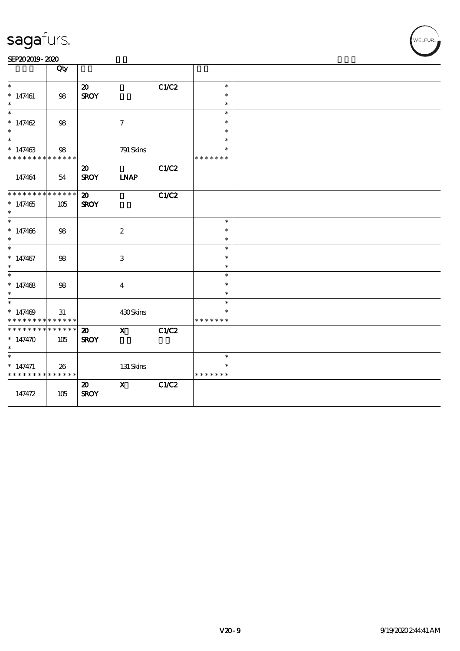| SEP202019-2020 |  |  |
|----------------|--|--|
|----------------|--|--|

|                             | Qty         |                             |                           |       |               |  |
|-----------------------------|-------------|-----------------------------|---------------------------|-------|---------------|--|
| $\ast$                      |             | $\boldsymbol{\mathfrak{D}}$ |                           | C1/C2 | $\ast$        |  |
| $*147461$                   | 98          | <b>SROY</b>                 |                           |       | $\ast$        |  |
| $\ast$                      |             |                             |                           |       | $\ast$        |  |
| $\ast$                      |             |                             |                           |       | $\ast$        |  |
| $* 147462$                  | $98\,$      |                             | $\boldsymbol{\tau}$       |       | $\ast$        |  |
| $\ast$                      |             |                             |                           |       | $\ast$        |  |
| $\ast$                      |             |                             |                           |       | $\ast$        |  |
| $*147463$                   | $98\,$      |                             | 791 Skins                 |       | $\ast$        |  |
| * * * * * * * * * * * * * * |             |                             |                           |       | * * * * * * * |  |
|                             |             | $\boldsymbol{\mathfrak{D}}$ |                           | C1/C2 |               |  |
| 147464                      | 54          | <b>SROY</b>                 | <b>LNAP</b>               |       |               |  |
|                             |             |                             |                           |       |               |  |
| ********                    | * * * * * * | $\boldsymbol{\mathfrak{D}}$ |                           | C1/C2 |               |  |
| $*147465$                   | 105         | <b>SROY</b>                 |                           |       |               |  |
| $\ast$                      |             |                             |                           |       |               |  |
| $\ast$                      |             |                             |                           |       | $\ast$        |  |
| $* 147406$                  | 98          |                             | $\boldsymbol{2}$          |       | $\ast$        |  |
| $\ast$                      |             |                             |                           |       | $\ast$        |  |
| $\ast$                      |             |                             |                           |       | $\ast$        |  |
| $*$ 147467                  | $98\,$      |                             | $\ensuremath{\mathbf{3}}$ |       | $\ast$        |  |
| $\ast$                      |             |                             |                           |       | $\ast$        |  |
| $\ast$                      |             |                             |                           |       | $\ast$        |  |
| $*147468$                   | $98\,$      |                             | $\boldsymbol{4}$          |       | $\ast$        |  |
| $\ast$                      |             |                             |                           |       | $\ast$        |  |
| $\overline{\ast}$           |             |                             |                           |       | $\ast$        |  |
| $*147469$                   | 31          |                             | 430Skins                  |       | $\ast$        |  |
| * * * * * * * *             | * * * * * * |                             |                           |       | * * * * * * * |  |
| * * * * * * * *             | * * * * * * | $\boldsymbol{\mathfrak{D}}$ | $\mathbf{X}$              | CLC2  |               |  |
| $* 147470$                  | 105         | <b>SROY</b>                 |                           |       |               |  |
|                             |             |                             |                           |       |               |  |
| $\ast$                      |             |                             |                           |       | $\ast$        |  |
| $*$ 147471                  | 26          |                             | 131 Skins                 |       | $\ast$        |  |
| * * * * * * * *             | * * * * * * |                             |                           |       | * * * * * * * |  |
|                             |             | $\boldsymbol{\mathfrak{D}}$ | $\mathbf X$               | C1/C2 |               |  |
| 147472                      | 105         | <b>SROY</b>                 |                           |       |               |  |
|                             |             |                             |                           |       |               |  |
|                             |             |                             |                           |       |               |  |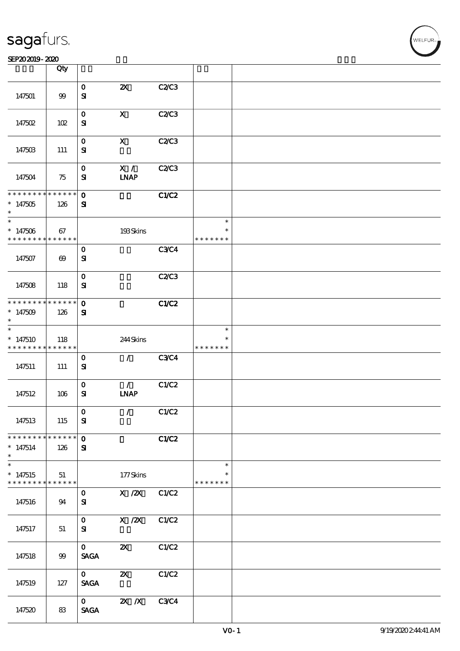|                                                      | Qty                   |                              |                                      |             |                                   |  |
|------------------------------------------------------|-----------------------|------------------------------|--------------------------------------|-------------|-----------------------------------|--|
| 147501                                               | $99$                  | $\mathbf 0$<br>${\bf s}$     | $\boldsymbol{\mathsf{z}}$            | C2/C3       |                                   |  |
| 147502                                               | 102                   | $\mathbf 0$<br>${\bf s}$     | $\boldsymbol{\mathrm{X}}$            | C2C3        |                                   |  |
| 147503                                               | 111                   | $\mathbf 0$<br>${\bf s}$     | $\mathbf{x}$                         | C2C3        |                                   |  |
| 147504                                               | 75                    | $\mathbf{o}$<br>${\bf s}$    | X /<br><b>INAP</b>                   | C2C3        |                                   |  |
| * * * * * * * * * * * * * *<br>$*147505$<br>$\ast$   | 126                   | $\mathbf{O}$<br>$\mathbf{a}$ |                                      | C1/C2       |                                   |  |
| $\ast$<br>$*147506$<br>* * * * * * * * * * * * * *   | 67                    |                              | 193Skins                             |             | $\ast$<br>$\ast$<br>* * * * * * * |  |
| 147507                                               | $\boldsymbol{\omega}$ | $\mathbf 0$<br>${\bf s}$     |                                      | <b>C3C4</b> |                                   |  |
| 147508                                               | 118                   | $\mathbf{o}$<br>${\bf s}$    |                                      | C2C3        |                                   |  |
| * * * * * * * * * * * * * *<br>$*147509$<br>$\ast$   | 126                   | $\mathbf 0$<br>${\bf s}$     |                                      | C1/C2       |                                   |  |
| $\ast$<br>$*147510$<br>* * * * * * * * * * * * * *   | 118                   |                              | 244Skins                             |             | $\ast$<br>*<br>* * * * * * *      |  |
| 147511                                               | 111                   | $\mathbf 0$<br>${\bf s}$     | $\mathcal{L}$                        | <b>C3C4</b> |                                   |  |
| 147512                                               | 106                   | $\mathbf{o}$<br>${\bf s}$    | $\mathcal{F}$<br><b>INAP</b>         | C1/C2       |                                   |  |
| 147513                                               | 115                   | $\mathbf{O}$<br>${\bf s}$    | $\mathcal{L}$                        | C1/C2       |                                   |  |
| $*147514$<br>$\ast$                                  | 126                   | $\mathbf{O}$<br>${\bf s}$    |                                      | C1/C2       |                                   |  |
| $\ast$<br>$*147515$<br>* * * * * * * * * * * * * * * | 51                    |                              | 177Skins                             |             | $\ast$<br>* * * * * * *           |  |
| 147516                                               | 94                    | $\mathbf 0$<br>${\bf s}$     | X / ZX C1/C2                         |             |                                   |  |
| 147517                                               | 51                    | $\mathbf{O}$<br>${\bf s}$    | X / ZX C1/C2                         |             |                                   |  |
| 147518                                               | 99                    | $\mathbf{0}$<br><b>SAGA</b>  | $\boldsymbol{\mathsf{Z}}$            | C1/C2       |                                   |  |
| 147519                                               | 127                   | $\mathbf{O}$<br><b>SAGA</b>  | $\boldsymbol{\mathsf{Z}}$            | C1/C2       |                                   |  |
| 147520                                               | 83                    | $\mathbf 0$<br><b>SAGA</b>   | $\overline{\mathbf{X}}$ $\mathbf{X}$ | <b>C3C4</b> |                                   |  |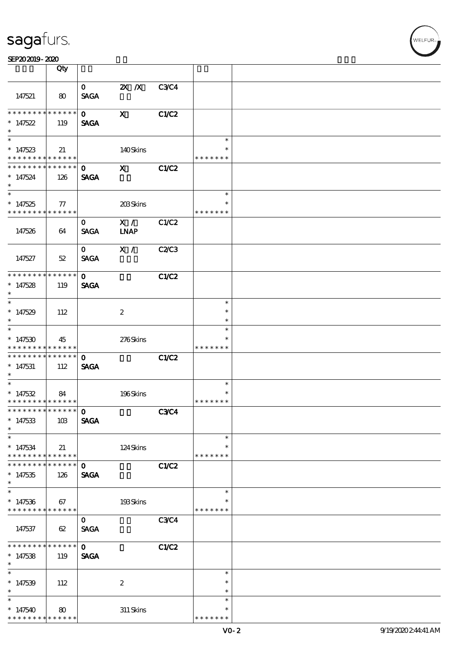#### SEP202019-2020 BEER AND EXAMPLE TO A LIMITED A LIMITED AND THE SEPEDENT CONTROL CONTROL CONTROL CONTROL CONTROL CONTROL CONTROL CONTROL CONTROL CONTROL CONTROL CONTROL CONTROL CONTROL CONTROL CONTROL CONTROL CONTROL CONTRO

|                                                                              | Qty                    |                             |                    |              |                                   |  |
|------------------------------------------------------------------------------|------------------------|-----------------------------|--------------------|--------------|-----------------------------------|--|
| 147521                                                                       | 80                     | $\mathbf{O}$<br><b>SAGA</b> | $X$ $N$            | <b>C3C4</b>  |                                   |  |
| * * * * * * * *<br>$*147522$<br>$\ast$                                       | $* * * * * * *$<br>119 | $\mathbf{O}$<br><b>SAGA</b> | $\mathbf{x}$       | <b>C1/C2</b> |                                   |  |
| $\overline{\phantom{0}}$<br>$*147523$<br>* * * * * * * * * * * * * *         | 21                     |                             | 140Skins           |              | $\ast$<br>$\ast$<br>* * * * * * * |  |
| * * * * * * * *<br>$*147524$<br>$\ast$<br>$\overline{\phantom{0}}$           | * * * * * *<br>126     | $\mathbf{o}$<br><b>SAGA</b> | $\mathbf{x}$       | C1/C2        |                                   |  |
| $*147525$<br>* * * * * * * * * * * * * *                                     | $\tau$                 |                             | 203Skins           |              | $\ast$<br>$\ast$<br>* * * * * * * |  |
| 147526                                                                       | 64                     | $\mathbf{O}$<br><b>SAGA</b> | X /<br><b>LNAP</b> | C1/C2        |                                   |  |
| 147527                                                                       | 52                     | $\mathbf{O}$<br><b>SAGA</b> | X /                | <b>C2/C3</b> |                                   |  |
| **************<br>$* 147528$<br>$\ast$                                       | 119                    | $\mathbf{O}$<br><b>SAGA</b> |                    | <b>C1/C2</b> |                                   |  |
| $\overline{\phantom{0}}$<br>$*147529$<br>$\ast$                              | 112                    |                             | $\boldsymbol{z}$   |              | $\ast$<br>$\ast$<br>$\ast$        |  |
| $\overline{\ast}$<br>$*147530$<br>* * * * * * * *                            | 45<br>* * * * * *      |                             | 276Skins           |              | $\ast$<br>* * * * * * *           |  |
| * * * * * * * *<br>$* 147531$<br>$*$                                         | $* * * * * * *$<br>112 | $\mathbf{o}$<br><b>SAGA</b> |                    | C1/C2        |                                   |  |
| $*$<br>$*147532$<br>* * * * * * * * * * * * * * *                            | 84                     |                             | 196Skins           |              | $\ast$<br>$\ast$<br>* * * * * * * |  |
| ****************** 0<br>$* 147533$<br>$\ast$                                 | 10B                    | <b>SAGA</b>                 |                    | <b>C3C4</b>  |                                   |  |
| $\ast$<br>$*147534$<br>* * * * * * * *                                       | 21<br>* * * * * *      |                             | 124Skins           |              | $\ast$<br>$\ast$<br>* * * * * * * |  |
| $*147535$<br>$\ast$                                                          | * * * * * *  <br>126   | $\mathbf 0$<br><b>SAGA</b>  |                    | <b>C1/C2</b> |                                   |  |
| $\overline{\ast}$<br>$*147536$<br>* * * * * * * * <mark>* * * * * * *</mark> | 67                     |                             | 193Skins           |              | $\ast$<br>$\ast$<br>* * * * * * * |  |
| 147537                                                                       | 62                     | $\mathbf{O}$<br><b>SAGA</b> |                    | <b>C3C4</b>  |                                   |  |
| * * * * * * *<br>$*147538$<br>$\ast$                                         | ******<br>119          | $\mathbf{O}$<br><b>SAGA</b> |                    | <b>C1/C2</b> |                                   |  |
| $\ast$<br>$* 147539$<br>$\ast$                                               | 112                    |                             | $\boldsymbol{2}$   |              | $\ast$<br>$\ast$<br>$\ast$        |  |
| $\ast$<br>$*147540$<br>* * * * * * * * <mark>* * * * * *</mark>              | 80                     |                             | $311$ Skins        |              | $\ast$<br>$\ast$<br>* * * * * * * |  |

WELFUR<br>
WELFUR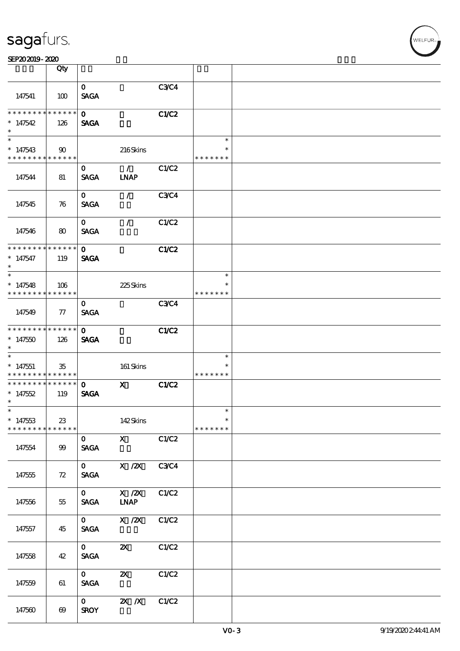| sagafurs. |
|-----------|
|           |

|                                                                                   | Qty                   |                                                |                                            |              |                                   |  |
|-----------------------------------------------------------------------------------|-----------------------|------------------------------------------------|--------------------------------------------|--------------|-----------------------------------|--|
| 147541                                                                            | 100                   | $\mathbf{O}$<br><b>SAGA</b>                    |                                            | C3C4         |                                   |  |
| * * * * * * * *<br>$*147542$                                                      | ******<br>126         | $\Omega$<br><b>SAGA</b>                        |                                            | C1/C2        |                                   |  |
| $\overline{\phantom{0}}$<br>$*147543$<br>* * * * * * * * <mark>* * * * * *</mark> | $90^{\circ}$          |                                                | 216Skins                                   |              | $\ast$<br>* * * * * * *           |  |
| 147544                                                                            | 81                    | $\mathbf{o}$<br><b>SAGA</b>                    | $\mathcal{L}$<br><b>INAP</b>               | C1/C2        |                                   |  |
| 147545                                                                            | 76                    | $\mathbf{O}$<br><b>SAGA</b>                    | $\mathcal{L}$                              | <b>C3C4</b>  |                                   |  |
| 147546                                                                            | 80                    | $\mathbf{O}$<br><b>SAGA</b>                    | $\mathcal{L}$                              | C1/C2        |                                   |  |
| * * * * * * * *<br>$*147547$<br>$\ast$                                            | $******$<br>119       | $\Omega$<br><b>SAGA</b>                        |                                            | C1/C2        |                                   |  |
| $*147548$<br>* * * * * * * *                                                      | 106<br>* * * * * *    |                                                | 225Skins                                   |              | $\ast$<br>*<br>* * * * * * *      |  |
| 147549                                                                            | $77\,$                | $\mathbf{O}$<br><b>SAGA</b>                    |                                            | C3C4         |                                   |  |
| * * * * * * * *<br>$*147550$<br>$\ast$                                            | * * * * * *  <br>126  | $\mathbf{O}$<br><b>SAGA</b>                    |                                            | C1/C2        |                                   |  |
| $\ast$<br>$*147551$<br>* * * * * * * *                                            | 35<br>* * * * * *     |                                                | 161 Skins                                  |              | $\ast$<br>*<br>* * * * * * *      |  |
| * * * * * * * *<br>$*147552$<br>$\ast$                                            | * * * * * *<br>119    | $\mathbf{o}$<br><b>SAGA</b>                    | $\mathbf{x}$                               | <b>C1/C2</b> |                                   |  |
| $\ast$<br>$*147533$<br>* * * * * * * *                                            | 23<br>* * * * * *     |                                                | 142Skins                                   |              | $\ast$<br>$\ast$<br>* * * * * * * |  |
| 147554                                                                            | 99                    | $\mathbf{O}$<br><b>SAGA</b>                    | $\mathbf X$                                | C1/C2        |                                   |  |
| 147555                                                                            | 72                    | $\mathbf{0}$<br><b>SAGA</b>                    | $X$ / $ZX$                                 | <b>C3C4</b>  |                                   |  |
| 147556                                                                            | 55                    | $\mathbf{O}$<br><b>SAGA</b>                    | $X$ / $ZX$<br>$\ensuremath{\mathbf{INAP}}$ | C1/C2        |                                   |  |
| 147557                                                                            | 45                    | $\mathbf{0}$<br>$\operatorname{\mathsf{SAGA}}$ | $\overline{X}$ / $\overline{Z}X$           | C1/C2        |                                   |  |
| 147558                                                                            | 42                    | $\mathbf{O}$<br><b>SAGA</b>                    | $\boldsymbol{\mathsf{z}}$                  | C1/C2        |                                   |  |
| 147559                                                                            | 61                    | $\mathbf{O}$<br><b>SAGA</b>                    | $\boldsymbol{\mathsf{X}}$                  | C1/C2        |                                   |  |
| 147560                                                                            | $\boldsymbol{\omega}$ | $\mathbf{O}$<br><b>SROY</b>                    | $\mathbf{X}$ $\mathbf{X}$                  | C1/C2        |                                   |  |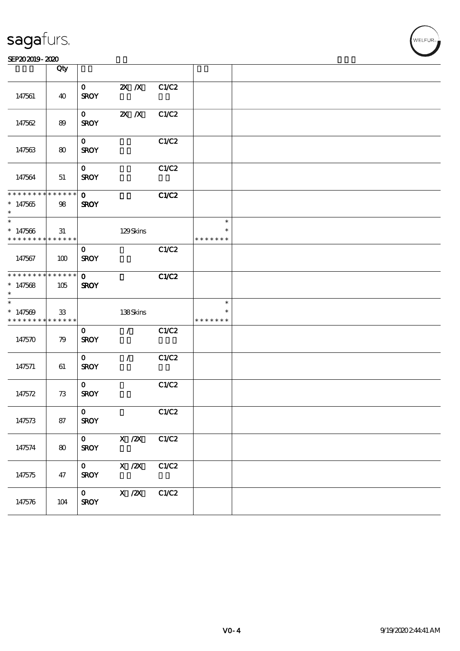#### SEP202019-2020 BEER AND EXAMPLE TO A LIMITED A LIMITED AND THE SEPEDENT CONTROL CONTROL CONTROL CONTROL CONTROL CONTROL CONTROL CONTROL CONTROL CONTROL CONTROL CONTROL CONTROL CONTROL CONTROL CONTROL CONTROL CONTROL CONTRO

|                                                                 | Qty |                             |                           |       |                                   |  |
|-----------------------------------------------------------------|-----|-----------------------------|---------------------------|-------|-----------------------------------|--|
| 147561                                                          | 40  | $\mathbf{O}$<br><b>SROY</b> | $\mathbf{X}$ $\mathbf{X}$ | C1/C2 |                                   |  |
| 147562                                                          | 89  | $\mathbf{O}$<br><b>SROY</b> | $X$ $X$                   | C1/C2 |                                   |  |
| 147563                                                          | 80  | $\mathbf{O}$<br><b>SROY</b> |                           | C1/C2 |                                   |  |
| 147564                                                          | 51  | $\mathbf{o}$<br><b>SROY</b> |                           | C1/C2 |                                   |  |
| * * * * * * * * * * * * * * *<br>$*147565$<br>$\ast$            | 98  | $\mathbf{O}$<br><b>SROY</b> |                           | C1/C2 |                                   |  |
| $*$<br>$* 147566$<br>* * * * * * * * <mark>* * * * * * *</mark> | 31  |                             | 129Skins                  |       | $\ast$<br>$\ast$<br>* * * * * * * |  |
| 147567                                                          | 100 | $\mathbf{o}$<br><b>SROY</b> |                           | C1/C2 |                                   |  |
| * * * * * * * * * * * * * * <sup>*</sup><br>$*147568$<br>$\ast$ | 105 | $\mathbf{O}$<br><b>SROY</b> |                           | C1/C2 |                                   |  |
| $*147569$<br>* * * * * * * * <mark>* * * * * *</mark>           | 33  |                             | 138Skins                  |       | $\ast$<br>* * * * * * *           |  |
| 147570                                                          | 79  | $\mathbf{O}$<br><b>SROY</b> | $\mathcal{L}$             | C1/C2 |                                   |  |
| 147571                                                          | 61  | $\mathbf{O}$<br><b>SROY</b> | $\mathcal{L}$             | C1/C2 |                                   |  |
| 147572                                                          | 73  | $\mathbf{o}$<br><b>SROY</b> |                           | C1/C2 |                                   |  |
| 147573                                                          | 87  | $\mathbf{0}$<br><b>SROY</b> |                           | C1/C2 |                                   |  |
| 147574                                                          | 80  | $\mathbf{O}$<br><b>SROY</b> | X / ZX                    | C1/C2 |                                   |  |
| 147575                                                          | 47  | $\mathbf{O}$<br><b>SROY</b> | $X$ / $ZX$                | C1/C2 |                                   |  |
| 147576                                                          | 104 | $\mathbf{O}$<br><b>SROY</b> | $X \, /ZX$                | C1/C2 |                                   |  |

T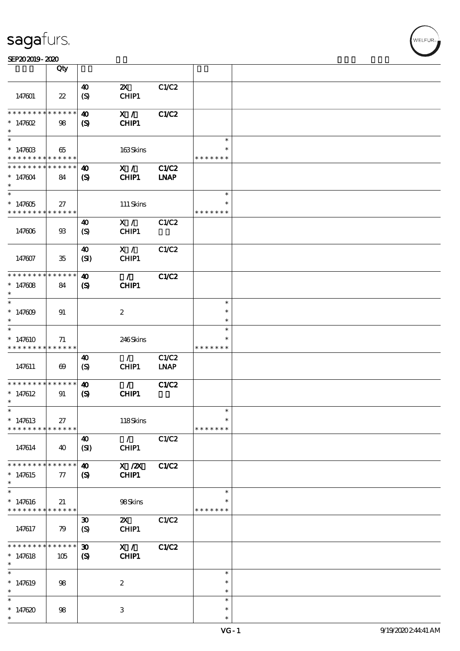|                                                                         | Qty                        |                                                            |                                    |                             |                                   |  |
|-------------------------------------------------------------------------|----------------------------|------------------------------------------------------------|------------------------------------|-----------------------------|-----------------------------------|--|
| 147601                                                                  | $\boldsymbol{\mathcal{Z}}$ | $\boldsymbol{\omega}$<br>$\boldsymbol{\mathrm{(S)}}$       | $\boldsymbol{\mathsf{Z}}$<br>CHIP1 | C1/C2                       |                                   |  |
| **************<br>$* 147602$<br>$\ast$                                  | 98                         | $\boldsymbol{\omega}$<br>$\mathbf{S}$                      | X /<br>CHIP1                       | <b>C1/C2</b>                |                                   |  |
| $\ast$<br>$* 14760B$<br>* * * * * * * * <mark>* * * * * *</mark>        | 65                         |                                                            | 163Skins                           |                             | $\ast$<br>* * * * * * *           |  |
| * * * * * * * * * * * * * *<br>$*147604$<br>$\ast$<br>$\overline{\ast}$ | 84                         | 40<br>$\mathbf{S}$                                         | X /<br>CHIP1                       | <b>C1/C2</b><br><b>LNAP</b> |                                   |  |
| $* 147605$<br>* * * * * * * * * * * * * *                               | 27                         |                                                            | 111 Skins                          |                             | $\ast$<br>$\ast$<br>* * * * * * * |  |
| 147606                                                                  | $93\,$                     | 40<br>$\boldsymbol{S}$                                     | X /<br>CHIP1                       | C1/C2                       |                                   |  |
| 147607                                                                  | $35\,$                     | 40<br>(SI)                                                 | X /<br>CHIP1                       | C1/C2                       |                                   |  |
| * * * * * * * * * * * * * *<br>$* 147608$<br>$\ast$                     | 84                         | 40<br>$\mathbf{S}$                                         | $\mathcal{L}$<br>CHIP1             | C1/C2                       |                                   |  |
| $\ast$<br>$*147609$<br>$\ast$                                           | 91                         |                                                            | $\boldsymbol{2}$                   |                             | $\ast$<br>$\ast$<br>$\ast$        |  |
| $\ast$<br>$*147610$<br>* * * * * * * * * * * * * *                      | 71                         |                                                            | 246Skins                           |                             | $\ast$<br>* * * * * * *           |  |
| 147611                                                                  | $\boldsymbol{\omega}$      | 40<br>(S)                                                  | $\mathcal{L}$<br>CHIP1             | C1/C2<br><b>LNAP</b>        |                                   |  |
| * * * * * * * * * * * * * *<br>$*147612$<br>$\ast$                      | 91                         | $\boldsymbol{\omega}$<br>$\boldsymbol{S}$                  | $\mathcal{L}$<br>CHIP1             | <b>C1/C2</b>                |                                   |  |
| $*$<br>$*147613$<br>* * * * * * * *                                     | $27\,$<br>* * * * * *      |                                                            | 118Skins                           |                             | $\ast$<br>$\ast$<br>* * * * * * * |  |
| 147614                                                                  | 40                         | 40<br>(SI)                                                 | $\mathcal{T}$<br>CHIP1             | C1/C2                       |                                   |  |
| * * * * * * * *<br>$*147615$<br>$\ast$                                  | * * * * * *<br>$\tau$      | $\boldsymbol{\omega}$<br>(S)                               | $X$ / $ZX$<br><b>CHIP1</b>         | C1/C2                       |                                   |  |
| $\ast$<br>$*147616$<br>* * * * * * * * * * * * * *                      | 21                         |                                                            | 98Skins                            |                             | $\ast$<br>$\ast$<br>* * * * * * * |  |
| 147617                                                                  | 79                         | $\boldsymbol{\mathfrak{D}}$<br>$\boldsymbol{\mathrm{(S)}}$ | $\boldsymbol{\alpha}$<br>CHIP1     | C1/C2                       |                                   |  |
| * * * * * * *<br>$*147618$<br>$\ast$                                    | * * * * * *<br>105         | $\boldsymbol{\mathfrak{D}}$<br>$\boldsymbol{S}$            | X /<br>CHIP1                       | <b>C1/C2</b>                |                                   |  |
| $\ast$<br>$*147619$<br>$\ast$                                           | 98                         |                                                            | $\boldsymbol{2}$                   |                             | $\ast$<br>$\ast$<br>$\ast$        |  |
| $\ast$<br>$*147620$<br>$\ast$                                           | 98                         |                                                            | $\,3$                              |                             | $\ast$<br>$\ast$<br>$\ast$        |  |

,<br>WELFUR: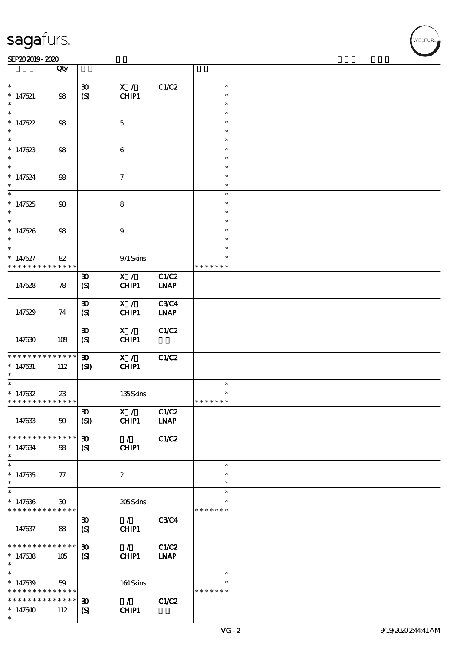#### SEP202019-2020 RUN BOOK ROOM AND RUN BOOK ROOM IN THE RESIDENCE SEPERATION CONTINUES.

|                               | Qty             |                             |                  |             |               |  |
|-------------------------------|-----------------|-----------------------------|------------------|-------------|---------------|--|
| $\ast$                        |                 |                             |                  |             | $\ast$        |  |
|                               |                 | $\boldsymbol{\mathfrak{D}}$ | X /              | C1/C2       | $\ast$        |  |
| $* 147621$                    | 98              | $\boldsymbol{S}$            | CHIP1            |             |               |  |
| $\ast$                        |                 |                             |                  |             | $\ast$        |  |
| $\ast$                        |                 |                             |                  |             | $\ast$        |  |
| $*147622$                     | 98              |                             | $\mathbf 5$      |             | $\ast$        |  |
| $\ast$                        |                 |                             |                  |             | $\ast$        |  |
| $*$                           |                 |                             |                  |             | $\ast$        |  |
| $* 147623$                    | $98$            |                             | 6                |             | $\ast$        |  |
| $\ast$                        |                 |                             |                  |             | $\ast$        |  |
| $\ast$                        |                 |                             |                  |             | $\ast$        |  |
| $* 147624$                    | $98$            |                             | $\tau$           |             | $\ast$        |  |
| $\ast$                        |                 |                             |                  |             | $\ast$        |  |
| $\overline{\ast}$             |                 |                             |                  |             | $\ast$        |  |
|                               |                 |                             |                  |             |               |  |
| $*147625$                     | 98              |                             | $\bf 8$          |             | $\ast$        |  |
| $\ast$                        |                 |                             |                  |             | $\ast$        |  |
| $\ast$                        |                 |                             |                  |             | $\ast$        |  |
| $* 147626$                    | $98$            |                             | $\boldsymbol{9}$ |             | $\ast$        |  |
| $\ast$                        |                 |                             |                  |             | $\ast$        |  |
| $\ast$                        |                 |                             |                  |             | $\ast$        |  |
| $* 147627$                    | 82              |                             | 971 Skins        |             | $\ast$        |  |
| * * * * * * * *               | * * * * * *     |                             |                  |             | * * * * * * * |  |
|                               |                 | $\boldsymbol{\mathfrak{D}}$ | X /              | C1/C2       |               |  |
| 147628                        | 78              | $\boldsymbol{S}$            | CHIP1            | <b>LNAP</b> |               |  |
|                               |                 |                             |                  |             |               |  |
|                               |                 | $\boldsymbol{\mathfrak{D}}$ | X /              | <b>C3C4</b> |               |  |
|                               |                 |                             |                  |             |               |  |
| 147629                        | 74              | $\boldsymbol{S}$            | CHIP1            | <b>LNAP</b> |               |  |
|                               |                 |                             |                  |             |               |  |
|                               |                 | $\boldsymbol{\mathfrak{D}}$ | X /              | C1/C2       |               |  |
| 147630                        | 109             | $\boldsymbol{S}$            | CHIP1            |             |               |  |
|                               |                 |                             |                  |             |               |  |
| * * * * * * * *               | * * * * * *     | $\boldsymbol{\mathfrak{D}}$ | X /              | C1/C2       |               |  |
| $* 147631$                    | 112             | $\mathbf{C}$                | CHIP1            |             |               |  |
| $\ast$                        |                 |                             |                  |             |               |  |
| $\ast$                        |                 |                             |                  |             | $\ast$        |  |
| $* 147632$                    | $23\,$          |                             | 135Skins         |             |               |  |
| * * * * * * * * * * * * * *   |                 |                             |                  |             | * * * * * * * |  |
|                               |                 | $\boldsymbol{\mathfrak{D}}$ | X /              | C1/C2       |               |  |
| 147633                        | 50              | (SI)                        | CHIP1            | <b>LNAP</b> |               |  |
|                               |                 |                             |                  |             |               |  |
| * * * * * * * *               | * * * * * *     | $\boldsymbol{\mathfrak{D}}$ | $\mathcal{L}$    | C1/C2       |               |  |
|                               |                 |                             |                  |             |               |  |
| $* 147634$<br>$\ast$          | 98              | (S)                         | CHIP1            |             |               |  |
| $\overline{\ast}$             |                 |                             |                  |             |               |  |
|                               |                 |                             |                  |             | $\ast$        |  |
| $*147635$                     | 77              |                             | $\boldsymbol{2}$ |             | ∗             |  |
| $\ast$                        |                 |                             |                  |             | $\ast$        |  |
| $\ast$                        |                 |                             |                  |             | $\ast$        |  |
| $* 147636$                    | $30^{\circ}$    |                             | 205Skins         |             | ∗             |  |
| * * * * * * * * * * * * * *   |                 |                             |                  |             | * * * * * * * |  |
|                               |                 | $\boldsymbol{\mathfrak{D}}$ | $\mathcal{L}$    | <b>C3C4</b> |               |  |
| 147637                        | 88              | $\boldsymbol{S}$            | CHIP1            |             |               |  |
|                               |                 |                             |                  |             |               |  |
| * * * * * * * *               | $* * * * * * *$ | $\boldsymbol{\mathfrak{D}}$ | $\mathcal{L}$    | C1/C2       |               |  |
| $*147638$                     | 105             | $\mathcal{S}$               | <b>CHIP1</b>     | <b>LNAP</b> |               |  |
| $\ast$                        |                 |                             |                  |             |               |  |
| $\ast$                        |                 |                             |                  |             | $\ast$        |  |
|                               |                 |                             |                  |             | ∗             |  |
| $* 147639$                    | 59              |                             | 164Skins         |             |               |  |
| * * * * * * * * * * * * * * * |                 |                             |                  |             | * * * * * * * |  |
| * * * * * * * * * * * * * *   |                 | $\boldsymbol{\mathfrak{D}}$ | $\mathcal{L}$    | C1/C2       |               |  |
| $*147640$                     | 112             | $\boldsymbol{\mathcal{S}}$  | CHIP1            |             |               |  |
| $\ast$                        |                 |                             |                  |             |               |  |

**NELFUR**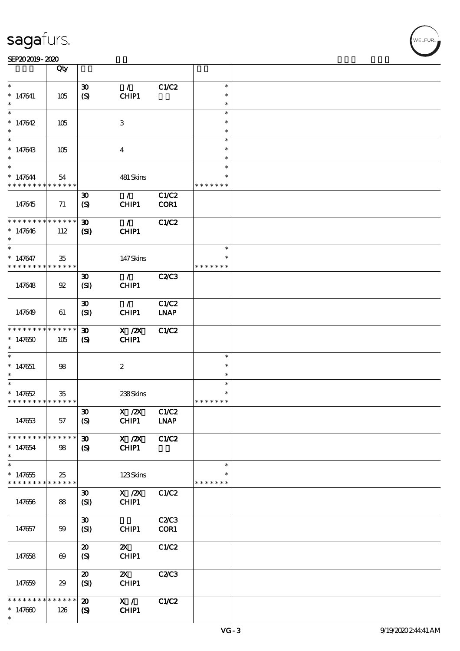|                                            | Qty                   |                             |                           |              |               |  |
|--------------------------------------------|-----------------------|-----------------------------|---------------------------|--------------|---------------|--|
| $\ast$                                     |                       |                             | $\mathcal{L}$             |              | $\ast$        |  |
|                                            |                       | $\boldsymbol{\mathfrak{D}}$ |                           | C1/C2        | $\ast$        |  |
| $* 147641$                                 | 105                   | $\boldsymbol{S}$            | CHIP1                     |              |               |  |
|                                            |                       |                             |                           |              | $\ast$        |  |
| $\ast$                                     |                       |                             |                           |              | $\ast$        |  |
| $*147642$                                  | 105                   |                             | 3                         |              | $\ast$        |  |
| $\ast$                                     |                       |                             |                           |              | $\ast$        |  |
|                                            |                       |                             |                           |              | $\ast$        |  |
| $* 147643$                                 | 105                   |                             | $\overline{\mathbf{4}}$   |              | $\ast$        |  |
| $\ast$                                     |                       |                             |                           |              | $\ast$        |  |
| $\overline{\ast}$                          |                       |                             |                           |              | $\ast$        |  |
| $* 147644$                                 | 54                    |                             | 481 Skins                 |              | $\ast$        |  |
| * * * * * * * *                            | * * * * * *           |                             |                           |              | * * * * * * * |  |
|                                            |                       |                             |                           |              |               |  |
|                                            |                       | $\boldsymbol{\mathfrak{D}}$ | $\mathcal{L}$             | C1/C2        |               |  |
| 147645                                     | 71                    | $\boldsymbol{S}$            | CHIP1                     | COR1         |               |  |
|                                            |                       |                             |                           |              |               |  |
| * * * * * * * *                            | * * * * * *           | 30                          | $\mathcal{L}$             | <b>C1/C2</b> |               |  |
| $* 147646$                                 | 112                   | $\mathbf{C}$                | CHIP1                     |              |               |  |
| $\ast$                                     |                       |                             |                           |              |               |  |
| $\ast$                                     |                       |                             |                           |              | $\ast$        |  |
| $* 147647$                                 | $35\,$                |                             | 147Skins                  |              | $\ast$        |  |
| * * * * * * * * <mark>* * * * * * *</mark> |                       |                             |                           |              | * * * * * * * |  |
|                                            |                       | $\boldsymbol{\mathfrak{D}}$ | $\mathcal{F}$             | C2C3         |               |  |
| 147648                                     | $\mathfrak{B}$        | (SI)                        | CHIP1                     |              |               |  |
|                                            |                       |                             |                           |              |               |  |
|                                            |                       |                             |                           |              |               |  |
|                                            |                       | $\boldsymbol{\mathfrak{D}}$ | $\mathcal{L}$             | C1/C2        |               |  |
| 147649                                     | 61                    | (SI)                        | CHIP1                     | <b>LNAP</b>  |               |  |
|                                            |                       |                             |                           |              |               |  |
| * * * * * * * *                            | * * * * * *           | $\boldsymbol{\mathfrak{D}}$ | $X$ / $ZX$                | <b>C1/C2</b> |               |  |
| $*147650$                                  | 105                   | $\boldsymbol{\mathrm{(S)}}$ | CHIP1                     |              |               |  |
| $\ast$                                     |                       |                             |                           |              |               |  |
| $\ast$                                     |                       |                             |                           |              | $\ast$        |  |
| $*147651$                                  | 98                    |                             | $\boldsymbol{2}$          |              | $\ast$        |  |
| $\ast$                                     |                       |                             |                           |              | $\ast$        |  |
| $\ast$                                     |                       |                             |                           |              | $\ast$        |  |
| $*147652$                                  | $35\,$                |                             | 238Skins                  |              | $\ast$        |  |
| * * * * * * * * * * * * * *                |                       |                             |                           |              | * * * * * * * |  |
|                                            |                       |                             |                           |              |               |  |
|                                            |                       | $\boldsymbol{\mathfrak{D}}$ | X / ZX                    | C1/C2        |               |  |
| 147653                                     | 57                    | (S)                         | CHIP1                     | <b>LNAP</b>  |               |  |
|                                            |                       |                             |                           |              |               |  |
| * * * * * * * * * * * * * *                |                       | $\boldsymbol{\mathfrak{D}}$ | X / ZX                    | C1/C2        |               |  |
| $* 147654$                                 | 98                    | $\boldsymbol{\mathcal{S}}$  | CHIP1                     |              |               |  |
| $\ast$                                     |                       |                             |                           |              |               |  |
| $\overline{\ast}$                          |                       |                             |                           |              | $\ast$        |  |
| $*147655$                                  | 25                    |                             | 123Skins                  |              |               |  |
| * * * * * * * * <mark>* * * * * * *</mark> |                       |                             |                           |              | * * * * * * * |  |
|                                            |                       | $\boldsymbol{\mathfrak{D}}$ | $X$ / $ZX$                | C1/C2        |               |  |
| 147656                                     | 88                    | (SI)                        | CHIP1                     |              |               |  |
|                                            |                       |                             |                           |              |               |  |
|                                            |                       |                             |                           |              |               |  |
|                                            |                       | $\boldsymbol{\mathfrak{D}}$ |                           | C2C3         |               |  |
| 147657                                     | 59                    | (SI)                        | CHIP1                     | COR1         |               |  |
|                                            |                       |                             |                           |              |               |  |
|                                            |                       | $\boldsymbol{\mathfrak{D}}$ | $\boldsymbol{\mathsf{Z}}$ | C1/C2        |               |  |
| 147658                                     | $\boldsymbol{\omega}$ | $\boldsymbol{S}$            | CHIP1                     |              |               |  |
|                                            |                       |                             |                           |              |               |  |
|                                            |                       | $\boldsymbol{\mathfrak{D}}$ | $\boldsymbol{\mathsf{Z}}$ | C2/C3        |               |  |
| 147659                                     | 29                    | (SI)                        | CHIP1                     |              |               |  |
|                                            |                       |                             |                           |              |               |  |
| * * * * * *                                | * * * * * *           | $\boldsymbol{\mathbf{z}}$   | X /                       | C1/C2        |               |  |
| $*147000$                                  | 126                   | $\boldsymbol{\mathcal{S}}$  | CHIP1                     |              |               |  |
| $\ast$                                     |                       |                             |                           |              |               |  |
|                                            |                       |                             |                           |              |               |  |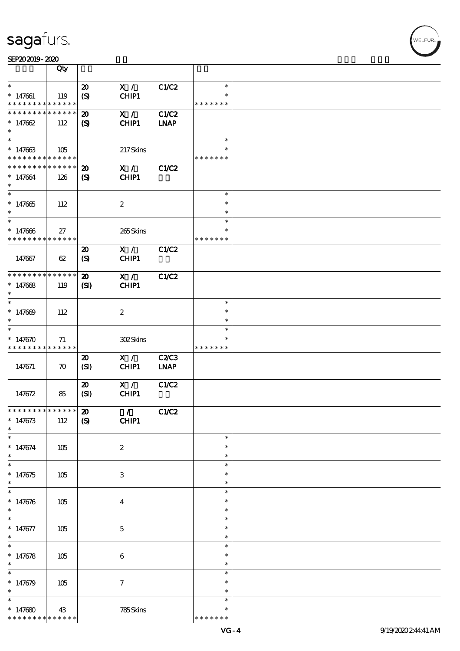|                                            | Qty                |                             |                               |              |                         |  |
|--------------------------------------------|--------------------|-----------------------------|-------------------------------|--------------|-------------------------|--|
| $\ast$                                     |                    | $\boldsymbol{\mathfrak{D}}$ | X /                           | C1/C2        | $\ast$                  |  |
| $* 147661$                                 | 119                | $\boldsymbol{S}$            | CHIP1                         |              | $\ast$                  |  |
| * * * * * * * * <mark>* * * * * *</mark> * |                    |                             |                               |              | * * * * * * *           |  |
| * * * * * * * * * * * * * *                |                    | $\boldsymbol{\mathbf{z}}$   | X /                           | <b>C1/C2</b> |                         |  |
| $* 147662$                                 | 112                | $\boldsymbol{S}$            | CHIP1                         | <b>LNAP</b>  |                         |  |
| $\ast$                                     |                    |                             |                               |              |                         |  |
| $\ast$                                     |                    |                             |                               |              | $\ast$                  |  |
| $* 147663$<br>* * * * * * * * * * * * * *  | 105                |                             | 217Skins                      |              | ∗<br>* * * * * * *      |  |
| * * * * * * * *                            | * * * * * *        | $\boldsymbol{\mathfrak{D}}$ | X /                           | C1/C2        |                         |  |
| $* 147664$                                 | 126                | $\boldsymbol{\mathrm{(S)}}$ | <b>CHIP1</b>                  |              |                         |  |
| $\ast$                                     |                    |                             |                               |              |                         |  |
| $\overline{\ast}$                          |                    |                             |                               |              | $\ast$                  |  |
| $* 147665$                                 | 112                |                             | $\boldsymbol{2}$              |              | $\ast$                  |  |
| $\ast$                                     |                    |                             |                               |              | $\ast$                  |  |
| $\ast$                                     |                    |                             |                               |              | $\ast$                  |  |
| $* 147666$<br>* * * * * * * *              | 27<br>* * * * * *  |                             | 265Skins                      |              | $\ast$<br>* * * * * * * |  |
|                                            |                    | $\boldsymbol{\mathsf{20}}$  | X /                           | C1/C2        |                         |  |
| 147667                                     | 62                 | (S)                         | CHIP1                         |              |                         |  |
|                                            |                    |                             |                               |              |                         |  |
| * * * * * * * * * * * * * *                |                    | $\boldsymbol{\mathfrak{D}}$ | X /                           | C1/C2        |                         |  |
| $* 147668$                                 | 119                | $\mathbf{S}$                | CHIP1                         |              |                         |  |
| $\ast$                                     |                    |                             |                               |              |                         |  |
| $\ast$                                     |                    |                             |                               |              | $\ast$                  |  |
| $* 147609$                                 | 112                |                             | $\boldsymbol{2}$              |              | $\ast$                  |  |
| $\ast$<br>$\ast$                           |                    |                             |                               |              | $\ast$<br>$\ast$        |  |
| $*147670$                                  | 71                 |                             | 302Skins                      |              | $\ast$                  |  |
| * * * * * * * * <mark>* * * * * * *</mark> |                    |                             |                               |              | * * * * * * *           |  |
|                                            |                    | $\boldsymbol{\mathbf{z}}$   | X /                           | <b>C2/C3</b> |                         |  |
| 147671                                     | $\boldsymbol{\pi}$ | (SI)                        | CHIP1                         | <b>LNAP</b>  |                         |  |
|                                            |                    |                             |                               |              |                         |  |
|                                            |                    | $\boldsymbol{\mathbf{z}}$   | X /                           | C1/C2        |                         |  |
| 147672                                     | 85                 | (SI)                        | CHIP1                         |              |                         |  |
| *************** 20                         |                    |                             |                               |              |                         |  |
| $* 147673$                                 | 112                | $\boldsymbol{\mathrm{(S)}}$ | $\mathcal{L}$<br><b>CHIP1</b> | C1/C2        |                         |  |
| $\ast$                                     |                    |                             |                               |              |                         |  |
| $\ast$                                     |                    |                             |                               |              | $\ast$                  |  |
| $* 147674$                                 | 105                |                             | $\boldsymbol{2}$              |              | $\ast$                  |  |
| $\ast$                                     |                    |                             |                               |              | $\ast$                  |  |
| $\ast$                                     |                    |                             |                               |              | $\ast$                  |  |
| $* 147675$<br>$\ast$                       | 105                |                             | $\,3\,$                       |              | $\ast$<br>$\ast$        |  |
| $\ast$                                     |                    |                             |                               |              | $\ast$                  |  |
| $* 147676$                                 | 105                |                             | $\boldsymbol{4}$              |              | $\ast$                  |  |
| $\ast$                                     |                    |                             |                               |              | $\ast$                  |  |
| $\ast$                                     |                    |                             |                               |              | $\ast$                  |  |
| $* 147677$                                 | 105                |                             | $\mathbf 5$                   |              | $\ast$                  |  |
| $\ast$                                     |                    |                             |                               |              | $\ast$                  |  |
| $\overline{\ast}$                          |                    |                             |                               |              | $\ast$                  |  |
| $* 147678$<br>$\ast$                       | 105                |                             | $\,6\,$                       |              | $\ast$<br>$\ast$        |  |
| $\ast$                                     |                    |                             |                               |              | $\ast$                  |  |
| $* 147679$                                 | 105                |                             | $\boldsymbol{\tau}$           |              | $\ast$                  |  |
|                                            |                    |                             |                               |              | $\ast$                  |  |
| $\ast$                                     |                    |                             |                               |              | $\ast$                  |  |
| $*147680$                                  | 43                 |                             | 785Skins                      |              | $\ast$                  |  |
| * * * * * * * * <mark>* * * * * * *</mark> |                    |                             |                               |              | * * * * * * *           |  |

WELFUR-<br>NELFUR-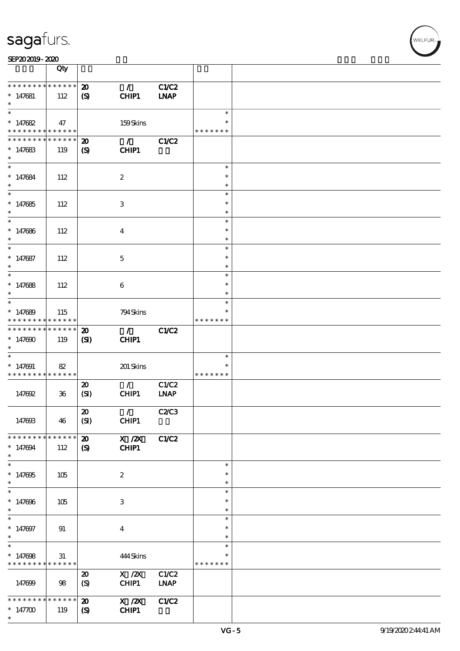| sagarars.                     |     |                             |                                 |             |                  | . |  |
|-------------------------------|-----|-----------------------------|---------------------------------|-------------|------------------|---|--|
| SEP202019-2020                |     |                             |                                 |             |                  |   |  |
|                               | Qty |                             |                                 |             |                  |   |  |
| * * * * * * * * * * * * * * * |     | $\boldsymbol{\mathfrak{D}}$ | $\mathcal{L}$                   | C1/C2       |                  |   |  |
| $*147681$<br>$\ast$           | 112 | (S)                         | CHIP1                           | <b>INAP</b> |                  |   |  |
| $\ast$                        |     |                             |                                 |             | $\ast$           |   |  |
| $* 147682$                    | 47  |                             | 159Skins                        |             |                  |   |  |
| * * * * * * * * * * * * * * * |     |                             |                                 |             | * * * * * * *    |   |  |
| * * * * * * * * * * * * * *   |     | $\boldsymbol{\mathbf{z}}$   | $\mathcal{L}$                   | C1/C2       |                  |   |  |
| $*147683$<br>$\ast$           | 119 | $\boldsymbol{\mathcal{S}}$  | CHIP1                           |             |                  |   |  |
| $\ast$                        |     |                             |                                 |             | $\ast$           |   |  |
| $* 147684$                    | 112 |                             | $\boldsymbol{2}$                |             | $\ast$           |   |  |
| $\ast$                        |     |                             |                                 |             | $\ast$           |   |  |
| $\ast$                        |     |                             |                                 |             | $\ast$           |   |  |
| $* 147685$                    | 112 |                             | $\,3$                           |             | $\ast$           |   |  |
| $\ast$<br>$\ast$              |     |                             |                                 |             | $\ast$           |   |  |
|                               |     |                             |                                 |             | $\ast$<br>$\ast$ |   |  |
| $* 147686$<br>$\ast$          | 112 |                             | $\boldsymbol{4}$                |             | $\ast$           |   |  |
| $\overline{\phantom{1}}$      |     |                             |                                 |             | $\ast$           |   |  |
| $* 147687$                    | 112 |                             | $\mathbf{5}$                    |             | $\ast$           |   |  |
| $\ast$                        |     |                             |                                 |             | $\ast$           |   |  |
| $\ast$                        |     |                             |                                 |             | $\ast$           |   |  |
| $* 147688$                    | 112 |                             | $\bf 6$                         |             | $\ast$           |   |  |
| $\ast$                        |     |                             |                                 |             | $\ast$           |   |  |
| $\ast$                        |     |                             |                                 |             | $\ast$           |   |  |
| $*147689$                     | 115 |                             | 794 Skins                       |             | $\ast$           |   |  |
| * * * * * * * * * * * * * *   |     |                             |                                 |             | * * * * * * *    |   |  |
| * * * * * * * * * * * * * *   |     | $\boldsymbol{\mathfrak{D}}$ | $\mathcal{L}$ and $\mathcal{L}$ | C1/C2       |                  |   |  |
| $*147000$<br>$\ast$           | 119 | (SI)                        | CHIP1                           |             |                  |   |  |
| $\ast$                        |     |                             |                                 |             | $\ast$           |   |  |
| $*147091$                     | 82  |                             | 201 Skins                       |             | $\ast$           |   |  |
|                               |     |                             |                                 |             |                  |   |  |

|            | * * * * * * *    |                      |                        |                                     |                 | * * * * * * * * * * * * * * * |
|------------|------------------|----------------------|------------------------|-------------------------------------|-----------------|-------------------------------|
|            |                  | C1/C2<br><b>LNAP</b> | $\mathcal{L}$<br>CHIP1 | $\boldsymbol{\mathbf{z}}$<br>(SI)   | $36\phantom{.}$ | 147692                        |
|            |                  | <b>C2/C3</b>         | $\mathcal{F}$<br>CHIP1 | $\boldsymbol{\mathfrak{D}}$<br>(SI) | 46              | 147693                        |
|            |                  | C1/C2                | $X$ / $ZX$             | $\boldsymbol{\mathbf{z}}$           |                 | * * * * * * * * * * * * * * * |
|            |                  |                      | CHIP1                  | $\boldsymbol{\mathrm{(S)}}$         | 112             | $*147094$<br>$\ast$           |
|            | $\ast$           |                      |                        |                                     |                 | $\ast$                        |
|            | $\ast$<br>$\ast$ |                      | $\boldsymbol{2}$       |                                     | 105             | $*147005$<br>$\ast$           |
|            | $\ast$           |                      |                        |                                     |                 | $\ast$                        |
|            | $\ast$           |                      | 3                      |                                     | 105             | $* 147696$                    |
|            | $\ast$           |                      |                        |                                     |                 | $\ast$                        |
|            | $\ast$           |                      |                        |                                     |                 | $\ast$                        |
|            | $\ast$<br>$\ast$ |                      | $\overline{4}$         |                                     | 91              | $* 147007$<br>$\ast$          |
|            | $\ast$           |                      |                        |                                     |                 | $\ast$                        |
|            | $\ast$           |                      | 444Skins               |                                     | 31              | $*147008$                     |
|            | * * * * * * *    |                      |                        |                                     |                 | * * * * * * * * * * * * * * * |
|            |                  | C1/C2                | $X$ / $ZX$             | $\boldsymbol{\mathfrak{D}}$         |                 |                               |
|            |                  | <b>LNAP</b>          | CHIP1                  | (S)                                 | 98              | 147699                        |
|            |                  | C1/C2                | $X$ / $ZX$             | $\boldsymbol{\mathsf{20}}$          |                 | * * * * * * * * * * * * * * * |
|            |                  |                      | CHIP1                  | $\boldsymbol{\mathsf{(S)}}$         | 119             | $*147700$<br>$\ast$           |
| 9/19/20202 | $VG - 5$         |                      |                        |                                     |                 |                               |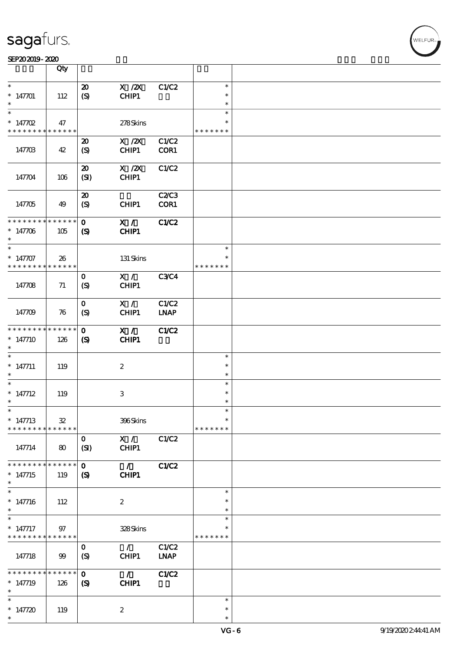| SEP202019-2020 |  |  |
|----------------|--|--|
|                |  |  |

|                                          | Qty         |                             |                  |              |               |  |
|------------------------------------------|-------------|-----------------------------|------------------|--------------|---------------|--|
| $\ast$                                   |             |                             | $X$ / $ZX$       | C1/C2        | $\ast$        |  |
|                                          |             | $\boldsymbol{\mathfrak{D}}$ |                  |              | $\ast$        |  |
| $* 147701$<br>$\ast$                     | 112         | (S)                         | CHIP1            |              | $\ast$        |  |
| $\ast$                                   |             |                             |                  |              | $\ast$        |  |
| $* 147702$                               |             |                             |                  |              | $\ast$        |  |
|                                          | 47          |                             | 278Skins         |              | * * * * * * * |  |
| * * * * * * * * <mark>* * * * * *</mark> |             |                             |                  |              |               |  |
|                                          |             | $\boldsymbol{\mathbf{z}}$   | $X$ / $ZX$       | C1/C2        |               |  |
| 147703                                   | 42          | (S)                         | CHIP1            | COR1         |               |  |
|                                          |             |                             |                  |              |               |  |
|                                          |             | $\boldsymbol{\mathfrak{D}}$ | $X$ / $ZX$       | C1/C2        |               |  |
| 147704                                   | 106         | (SI)                        | CHIP1            |              |               |  |
|                                          |             |                             |                  |              |               |  |
|                                          |             | $\boldsymbol{\mathfrak{D}}$ |                  | <b>C2/C3</b> |               |  |
| 147705                                   | 49          | (S)                         | CHIP1            | COR1         |               |  |
|                                          |             |                             |                  |              |               |  |
| * * * * * * * * * * * * * *              |             | $\mathbf{o}$                | X / C            | <b>C1/C2</b> |               |  |
| $* 147706$                               | 105         | $\boldsymbol{\mathcal{S}}$  | CHIP1            |              |               |  |
| $\ast$                                   |             |                             |                  |              |               |  |
| $\ast$                                   |             |                             |                  |              | $\ast$        |  |
| $* 147707$                               | 26          |                             | 131 Skins        |              | $\ast$        |  |
| * * * * * * * * * * * * * *              |             |                             |                  |              | * * * * * * * |  |
|                                          |             | $\mathbf 0$                 | X /              | <b>C3C4</b>  |               |  |
| 147708                                   | 71          | (S)                         | CHIP1            |              |               |  |
|                                          |             |                             |                  |              |               |  |
|                                          |             | $\mathbf{O}$                | X /              | C1/C2        |               |  |
| 147709                                   | 76          | (S)                         | CHIP1            | <b>LNAP</b>  |               |  |
|                                          |             |                             |                  |              |               |  |
| * * * * * * * *                          | * * * * * * | $\mathbf{O}$                | X /              | <b>C1/C2</b> |               |  |
| $*147710$                                | 126         | $\boldsymbol{\mathrm{(S)}}$ | <b>CHIP1</b>     |              |               |  |
| $\ast$                                   |             |                             |                  |              |               |  |
| $\ast$                                   |             |                             |                  |              | $\ast$        |  |
| $* 147711$                               | 119         |                             | $\boldsymbol{2}$ |              | $\ast$        |  |
| $\ast$                                   |             |                             |                  |              | $\ast$        |  |
| $\ast$                                   |             |                             |                  |              | $\ast$        |  |
| $* 147712$                               | 119         |                             | $\,3\,$          |              | $\ast$        |  |
| $\ast$                                   |             |                             |                  |              | $\ast$        |  |
| $*$                                      |             |                             |                  |              | $\ast$        |  |
| $* 147713$                               | ${\bf 32}$  |                             | 396Skins         |              | $\ast$        |  |
| * * * * * * * * * * * * * *              |             |                             |                  |              | * * * * * * * |  |
|                                          |             | $\mathbf{O}$                | X /              | C1/C2        |               |  |
| 147714                                   | 80          | (SI)                        | CHIP1            |              |               |  |
|                                          |             |                             |                  |              |               |  |
| * * * * * * * *                          | * * * * * * | $\mathbf{O}$                | $\mathcal{L}$    | C1/C2        |               |  |
| $* 147715$                               | 119         | $\boldsymbol{\mathcal{S}}$  | CHIP1            |              |               |  |
| $\ast$                                   |             |                             |                  |              |               |  |
| $\ast$                                   |             |                             |                  |              | $\ast$        |  |
| $* 147716$                               | 112         |                             | $\boldsymbol{2}$ |              | $\ast$        |  |
| $\ast$                                   |             |                             |                  |              | $\ast$        |  |
| $\ast$                                   |             |                             |                  |              | $\ast$        |  |
| $*$ 147717                               | 97          |                             | 328Skins         |              | $\ast$        |  |
| * * * * * * * *                          | * * * * * * |                             |                  |              | * * * * * * * |  |
|                                          |             | $\mathbf 0$                 | $\mathcal{L}$    | C1/C2        |               |  |
| 147718                                   | 99          | (S)                         | CHIP1            | <b>LNAP</b>  |               |  |
| * * * * * * * *                          | * * * * * * |                             |                  |              |               |  |
|                                          |             | $\mathbf 0$                 | $\mathcal{L}$    | C1/C2        |               |  |
| $* 147719$<br>$\ast$                     | 126         | $\boldsymbol{S}$            | CHIP1            |              |               |  |
| $\ast$                                   |             |                             |                  |              | $\ast$        |  |
| $* 147720$                               |             |                             | $\boldsymbol{z}$ |              | $\ast$        |  |
| $\ast$                                   | 119         |                             |                  |              | $\ast$        |  |
|                                          |             |                             |                  |              |               |  |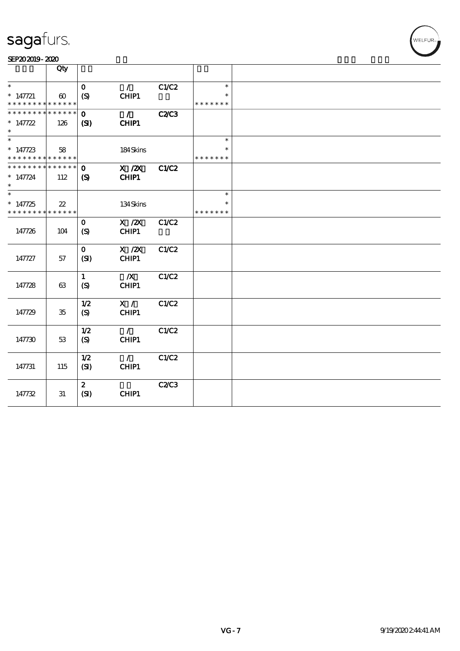|                                           | Qty                   |                             |                        |              |                         |  |
|-------------------------------------------|-----------------------|-----------------------------|------------------------|--------------|-------------------------|--|
| $\ast$                                    |                       | $\mathbf 0$                 | $\mathcal{L}$          | C1/C2        | $\ast$                  |  |
| $* 147721$                                | $\boldsymbol{\omega}$ | (S)                         | CHIP1                  |              | $\ast$                  |  |
| * * * * * * * * * * * * * *               |                       |                             |                        |              | * * * * * * *           |  |
| * * * * * * * * * * * * * * *             |                       | $\mathbf{o}$                | $\mathcal{L}$          | <b>C2/C3</b> |                         |  |
| $* 147722$                                | 126                   | (S)                         | CHIP1                  |              |                         |  |
| $\ast$                                    |                       |                             |                        |              |                         |  |
| $\ast$                                    |                       |                             |                        |              | $\ast$                  |  |
| $* 147723$<br>* * * * * * * * * * * * * * | 58                    |                             | 184Skins               |              | * * * * * * *           |  |
| * * * * * * * * * * * * * * *             |                       | $\Omega$                    | $X$ / $ZX$             | <b>C1/C2</b> |                         |  |
| $* 147724$                                | 112                   | $\boldsymbol{\mathrm{(S)}}$ | CHIP1                  |              |                         |  |
| $\ast$                                    |                       |                             |                        |              |                         |  |
| $\overline{\ast}$                         |                       |                             |                        |              | $\ast$                  |  |
| $*147725$<br>* * * * * * * * * * * * * *  | 22                    |                             | 134Skins               |              | $\ast$<br>* * * * * * * |  |
|                                           |                       | $\mathbf{O}$                | $X$ / $ZX$             | C1/C2        |                         |  |
| 147726                                    | 104                   | (S)                         | CHIP1                  |              |                         |  |
|                                           |                       |                             |                        |              |                         |  |
|                                           |                       | $\mathbf{O}$                | $X$ / $ZX$             | C1/C2        |                         |  |
| 147727                                    | 57                    | (SI)                        | CHIP1                  |              |                         |  |
|                                           |                       |                             | $\boldsymbol{X}$       | C1/C2        |                         |  |
| 147728                                    | 63                    | $\mathbf{1}$<br>(S)         | CHIP1                  |              |                         |  |
|                                           |                       |                             |                        |              |                         |  |
|                                           |                       | 1/2                         | X /                    | C1/C2        |                         |  |
| 147729                                    | $35\,$                | (S)                         | CHIP1                  |              |                         |  |
|                                           |                       |                             |                        |              |                         |  |
| 147730                                    | 53                    | 1/2                         | $\mathcal{L}$<br>CHIP1 | C1/C2        |                         |  |
|                                           |                       | $\boldsymbol{S}$            |                        |              |                         |  |
|                                           |                       | 1/2                         | $\mathcal{L}$          | C1/C2        |                         |  |
| 147731                                    | 115                   | (SI)                        | CHIP1                  |              |                         |  |
|                                           |                       |                             |                        |              |                         |  |
|                                           |                       | $\mathbf{2}$                |                        | <b>C2/C3</b> |                         |  |
| 147732                                    | 31                    | (SI)                        | CHIP1                  |              |                         |  |
|                                           |                       |                             |                        |              |                         |  |

WELFUR<sub>T</sub>